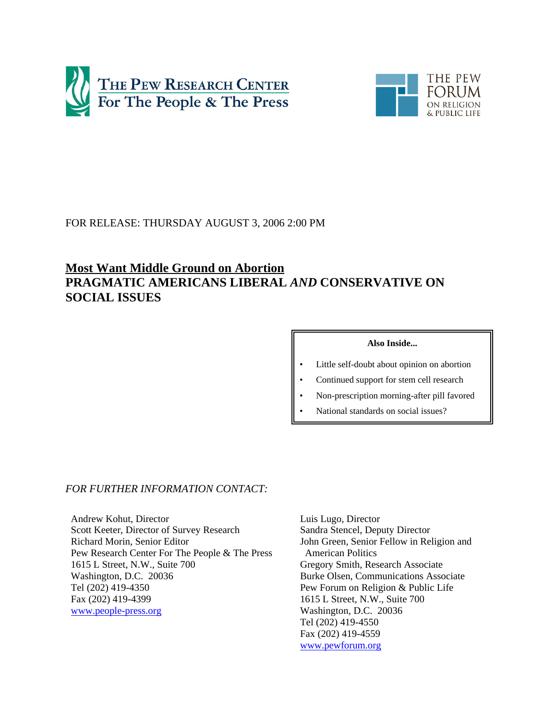



# FOR RELEASE: THURSDAY AUGUST 3, 2006 2:00 PM

# **Most Want Middle Ground on Abortion PRAGMATIC AMERICANS LIBERAL** *AND* **CONSERVATIVE ON SOCIAL ISSUES**

### **Also Inside...**

- Little self-doubt about opinion on abortion
- Continued support for stem cell research
- Non-prescription morning-after pill favored
- National standards on social issues?

# *FOR FURTHER INFORMATION CONTACT:*

Andrew Kohut, Director Scott Keeter, Director of Survey Research Richard Morin, Senior Editor Pew Research Center For The People & The Press 1615 L Street, N.W., Suite 700 Washington, D.C. 20036 Tel (202) 419-4350 Fax (202) 419-4399 www.people-press.org

Luis Lugo, Director Sandra Stencel, Deputy Director John Green, Senior Fellow in Religion and American Politics Gregory Smith, Research Associate Burke Olsen, Communications Associate Pew Forum on Religion & Public Life 1615 L Street, N.W., Suite 700 Washington, D.C. 20036 Tel (202) 419-4550 Fax (202) 419-4559 www.pewforum.org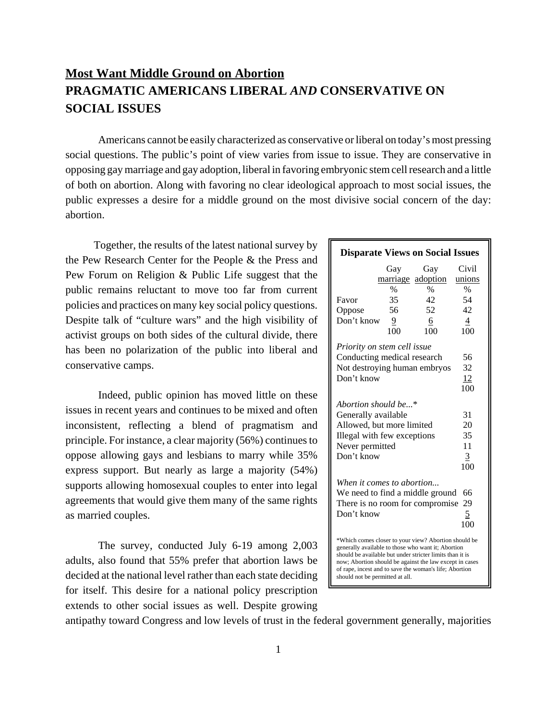# **Most Want Middle Ground on Abortion PRAGMATIC AMERICANS LIBERAL** *AND* **CONSERVATIVE ON SOCIAL ISSUES**

Americans cannot be easily characterized as conservative or liberal on today's most pressing social questions. The public's point of view varies from issue to issue. They are conservative in opposing gay marriage and gay adoption, liberal in favoring embryonic stem cell research and a little of both on abortion. Along with favoring no clear ideological approach to most social issues, the public expresses a desire for a middle ground on the most divisive social concern of the day: abortion.

 Together, the results of the latest national survey by the Pew Research Center for the People & the Press and Pew Forum on Religion & Public Life suggest that the public remains reluctant to move too far from current policies and practices on many key social policy questions. Despite talk of "culture wars" and the high visibility of activist groups on both sides of the cultural divide, there has been no polarization of the public into liberal and conservative camps.

Indeed, public opinion has moved little on these issues in recent years and continues to be mixed and often inconsistent, reflecting a blend of pragmatism and principle. For instance, a clear majority (56%) continuesto oppose allowing gays and lesbians to marry while 35% express support. But nearly as large a majority (54%) supports allowing homosexual couples to enter into legal agreements that would give them many of the same rights as married couples.

The survey, conducted July 6-19 among 2,003 adults, also found that 55% prefer that abortion laws be decided at the national level rather than each state deciding for itself. This desire for a national policy prescription extends to other social issues as well. Despite growing

| <b>Disparate Views on Social Issues</b>                                                                                                                                                                                                                                                                                        |      |                   |        |
|--------------------------------------------------------------------------------------------------------------------------------------------------------------------------------------------------------------------------------------------------------------------------------------------------------------------------------|------|-------------------|--------|
|                                                                                                                                                                                                                                                                                                                                | Gay  | Gay               | Civil  |
|                                                                                                                                                                                                                                                                                                                                |      | marriage adoption | unions |
|                                                                                                                                                                                                                                                                                                                                | $\%$ | $\frac{0}{0}$     | $\%$   |
| Favor                                                                                                                                                                                                                                                                                                                          | 35   | 42                | 54     |
| Oppose                                                                                                                                                                                                                                                                                                                         | 56   | 52                | 42     |
| Don't know                                                                                                                                                                                                                                                                                                                     | 9    | 6                 | 4      |
|                                                                                                                                                                                                                                                                                                                                | 100  | 100               | 100    |
| Priority on stem cell issue                                                                                                                                                                                                                                                                                                    |      |                   |        |
| Conducting medical research                                                                                                                                                                                                                                                                                                    |      |                   | 56     |
| Not destroying human embryos                                                                                                                                                                                                                                                                                                   |      |                   | 32     |
| Don't know                                                                                                                                                                                                                                                                                                                     |      |                   | 12     |
|                                                                                                                                                                                                                                                                                                                                |      |                   | 100    |
| Abortion should be*                                                                                                                                                                                                                                                                                                            |      |                   |        |
| Generally available                                                                                                                                                                                                                                                                                                            |      |                   | 31     |
| Allowed, but more limited                                                                                                                                                                                                                                                                                                      |      |                   | 20     |
| Illegal with few exceptions                                                                                                                                                                                                                                                                                                    |      |                   | 35     |
| Never permitted                                                                                                                                                                                                                                                                                                                |      |                   | 11     |
| Don't know                                                                                                                                                                                                                                                                                                                     |      |                   | 3      |
|                                                                                                                                                                                                                                                                                                                                |      |                   | 100    |
|                                                                                                                                                                                                                                                                                                                                |      |                   |        |
| When it comes to abortion                                                                                                                                                                                                                                                                                                      |      |                   |        |
| We need to find a middle ground                                                                                                                                                                                                                                                                                                |      |                   | 66     |
| There is no room for compromise                                                                                                                                                                                                                                                                                                |      |                   | 29     |
| Don't know                                                                                                                                                                                                                                                                                                                     |      |                   | 5      |
|                                                                                                                                                                                                                                                                                                                                |      |                   | 100    |
| *Which comes closer to your view? Abortion should be<br>generally available to those who want it; Abortion<br>should be available but under stricter limits than it is<br>now; Abortion should be against the law except in cases<br>of rape, incest and to save the woman's life; Abortion<br>should not be permitted at all. |      |                   |        |

antipathy toward Congress and low levels of trust in the federal government generally, majorities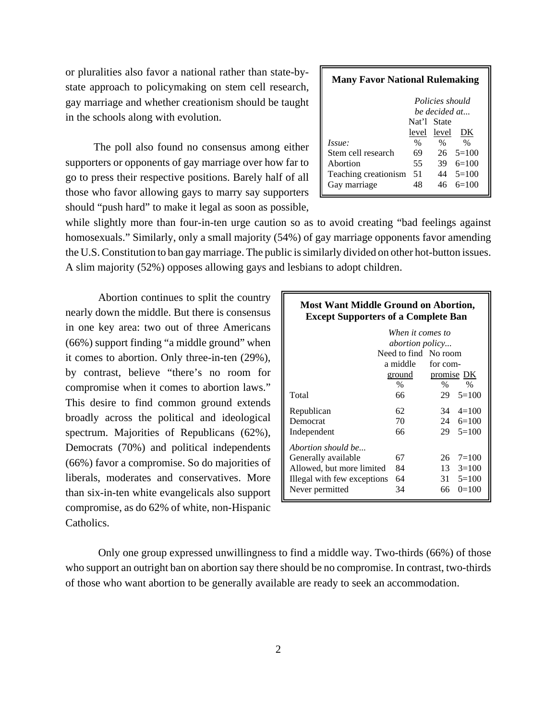or pluralities also favor a national rather than state-bystate approach to policymaking on stem cell research, gay marriage and whether creationism should be taught in the schools along with evolution.

 The poll also found no consensus among either supporters or opponents of gay marriage over how far to go to press their respective positions. Barely half of all those who favor allowing gays to marry say supporters should "push hard" to make it legal as soon as possible,

| <b>Many Favor National Rulemaking</b> |             |                     |                    |  |  |  |  |
|---------------------------------------|-------------|---------------------|--------------------|--|--|--|--|
| Policies should<br>be decided at      |             |                     |                    |  |  |  |  |
|                                       | Nat'l State |                     |                    |  |  |  |  |
| <i>Issue:</i>                         | $\%$        | level level<br>$\%$ | DK<br>$\%$         |  |  |  |  |
| Stem cell research                    | 69          |                     | $26 \quad 5 = 100$ |  |  |  |  |
| Abortion                              | 55          | 39                  | $6=100$            |  |  |  |  |
| Teaching creationism                  | 51          | 44                  | $5=100$            |  |  |  |  |
| Gay marriage                          | 48          |                     | $6=100$            |  |  |  |  |

while slightly more than four-in-ten urge caution so as to avoid creating "bad feelings against homosexuals." Similarly, only a small majority (54%) of gay marriage opponents favor amending the U.S. Constitution to ban gay marriage. The public is similarly divided on other hot-button issues. A slim majority (52%) opposes allowing gays and lesbians to adopt children.

Abortion continues to split the country nearly down the middle. But there is consensus in one key area: two out of three Americans (66%) support finding "a middle ground" when it comes to abortion. Only three-in-ten (29%), by contrast, believe "there's no room for compromise when it comes to abortion laws." This desire to find common ground extends broadly across the political and ideological spectrum. Majorities of Republicans (62%), Democrats (70%) and political independents (66%) favor a compromise. So do majorities of liberals, moderates and conservatives. More than six-in-ten white evangelicals also support compromise, as do 62% of white, non-Hispanic Catholics.

| <b>Most Want Middle Ground on Abortion,</b><br><b>Except Supporters of a Complete Ban</b> |                      |                   |                    |  |  |  |  |
|-------------------------------------------------------------------------------------------|----------------------|-------------------|--------------------|--|--|--|--|
| When it comes to<br><i>abortion policy</i>                                                |                      |                   |                    |  |  |  |  |
|                                                                                           | Need to find No room |                   |                    |  |  |  |  |
|                                                                                           | a middle             | for com-          |                    |  |  |  |  |
|                                                                                           | ground               | <u>promise</u> DK |                    |  |  |  |  |
|                                                                                           | $\frac{0}{0}$        | $\%$              | $\frac{0}{0}$      |  |  |  |  |
| Total                                                                                     | 66                   | 29                | $5=100$            |  |  |  |  |
| Republican                                                                                | 62                   |                   | $34 \quad 4 = 100$ |  |  |  |  |
| Democrat                                                                                  | 70                   |                   | 24 $6=100$         |  |  |  |  |
| Independent                                                                               | 66                   |                   | $29 \quad 5 = 100$ |  |  |  |  |
| Abortion should be                                                                        |                      |                   |                    |  |  |  |  |
| Generally available                                                                       | 67                   | 26                | $7 = 100$          |  |  |  |  |
| Allowed, but more limited                                                                 | 84                   | 13                | $3=100$            |  |  |  |  |
| Illegal with few exceptions                                                               | 64<br>31<br>$5=100$  |                   |                    |  |  |  |  |
| Never permitted                                                                           | 34                   | 66                | $0=100$            |  |  |  |  |

Only one group expressed unwillingness to find a middle way. Two-thirds (66%) of those who support an outright ban on abortion say there should be no compromise. In contrast, two-thirds of those who want abortion to be generally available are ready to seek an accommodation.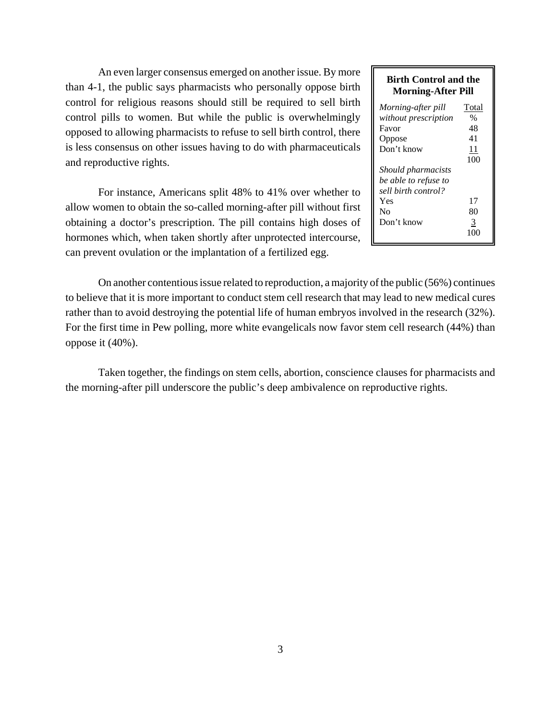An even larger consensus emerged on another issue. By more than 4-1, the public says pharmacists who personally oppose birth control for religious reasons should still be required to sell birth control pills to women. But while the public is overwhelmingly opposed to allowing pharmacists to refuse to sell birth control, there is less consensus on other issues having to do with pharmaceuticals and reproductive rights.

For instance, Americans split 48% to 41% over whether to allow women to obtain the so-called morning-after pill without first obtaining a doctor's prescription. The pill contains high doses of hormones which, when taken shortly after unprotected intercourse, can prevent ovulation or the implantation of a fertilized egg.

# **Birth Control and the Morning-After Pill**

| Morning-after pill        | Total         |
|---------------------------|---------------|
| without prescription      | $\frac{0}{0}$ |
| Favor                     | 48            |
| Oppose                    | 41            |
| Don't know                | 11            |
|                           | 100           |
| <i>Should pharmacists</i> |               |
| be able to refuse to      |               |
| sell birth control?       |               |
| Yes                       | 17            |
| No                        | 80            |
| Don't know                | 3             |
|                           |               |

On another contentious issue related to reproduction, a majority of the public (56%) continues to believe that it is more important to conduct stem cell research that may lead to new medical cures rather than to avoid destroying the potential life of human embryos involved in the research (32%). For the first time in Pew polling, more white evangelicals now favor stem cell research (44%) than oppose it (40%).

Taken together, the findings on stem cells, abortion, conscience clauses for pharmacists and the morning-after pill underscore the public's deep ambivalence on reproductive rights.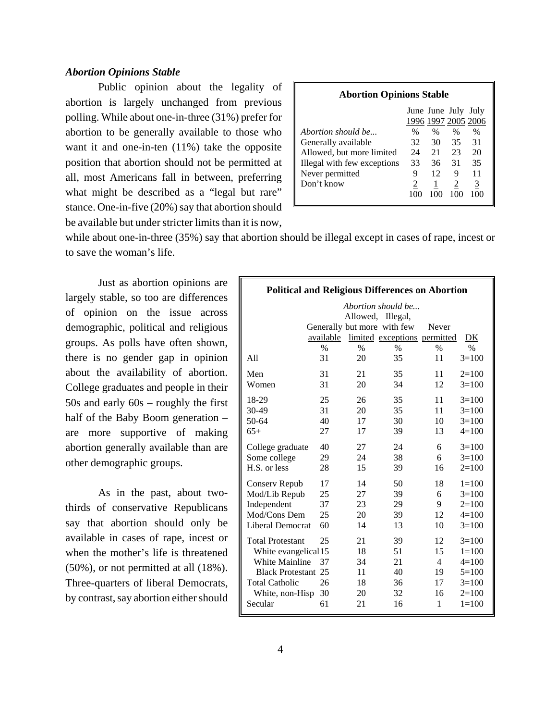# *Abortion Opinions Stable*

Public opinion about the legality of abortion is largely unchanged from previous polling. While about one-in-three (31%) prefer for abortion to be generally available to those who want it and one-in-ten (11%) take the opposite position that abortion should not be permitted at all, most Americans fall in between, preferring what might be described as a "legal but rare" stance. One-in-five (20%) say that abortion should be available but under stricter limits than it is now,

| <b>Abortion Opinions Stable</b>                     |      |               |                                            |      |  |
|-----------------------------------------------------|------|---------------|--------------------------------------------|------|--|
|                                                     |      |               | June June July July<br>1996 1997 2005 2006 |      |  |
| Abortion should be                                  | $\%$ | $\frac{0}{0}$ | $\%$                                       | $\%$ |  |
| Generally available                                 | 32   | 30            | 35                                         | 31   |  |
| Allowed, but more limited<br>21<br>23<br>20<br>24   |      |               |                                            |      |  |
| 35<br>31<br>33<br>Illegal with few exceptions<br>36 |      |               |                                            |      |  |
| Never permitted                                     | 9    | 12            | 9                                          | 11   |  |
| Don't know<br>3<br>2                                |      |               |                                            |      |  |
|                                                     |      |               | 100                                        | 100  |  |

while about one-in-three (35%) say that abortion should be illegal except in cases of rape, incest or to save the woman's life.

Just as abortion opinions are largely stable, so too are differences of opinion on the issue across demographic, political and religious groups. As polls have often shown, there is no gender gap in opinion about the availability of abortion. College graduates and people in their 50s and early 60s – roughly the first half of the Baby Boom generation – are more supportive of making abortion generally available than are other demographic groups.

As in the past, about twothirds of conservative Republicans say that abortion should only be available in cases of rape, incest or when the mother's life is threatened (50%), or not permitted at all (18%). Three-quarters of liberal Democrats, by contrast, say abortion either should

| <b>Political and Religious Differences on Abortion</b> |               |               |                              |                |               |
|--------------------------------------------------------|---------------|---------------|------------------------------|----------------|---------------|
|                                                        |               |               | Abortion should be           |                |               |
|                                                        |               |               | Allowed, Illegal,            |                |               |
|                                                        |               |               | Generally but more with few  | Never          |               |
|                                                        | available     |               | limited exceptions permitted |                | DK            |
|                                                        | $\frac{0}{0}$ | $\frac{0}{0}$ | $\frac{0}{0}$                | $\frac{0}{0}$  | $\frac{0}{0}$ |
| All                                                    | 31            | 20            | 35                           | 11             | $3=100$       |
| Men                                                    | 31            | 21            | 35                           | 11             | $2=100$       |
| Women                                                  | 31            | 20            | 34                           | 12             | $3=100$       |
| 18-29                                                  | 25            | 26            | 35                           | 11             | $3=100$       |
| 30-49                                                  | 31            | 20            | 35                           | 11             | $3=100$       |
| 50-64                                                  | 40            | 17            | 30                           | 10             | $3=100$       |
| $65+$                                                  | 27            | 17            | 39                           | 13             | $4 = 100$     |
| College graduate                                       | 40            | 27            | 24                           | 6              | $3=100$       |
| Some college                                           | 29            | 24            | 38                           | 6              | $3=100$       |
| H.S. or less                                           | 28            | 15            | 39                           | 16             | $2=100$       |
| Conserv Repub                                          | 17            | 14            | 50                           | 18             | $1 = 100$     |
| Mod/Lib Repub                                          | 25            | 27            | 39                           | 6              | $3=100$       |
| Independent                                            | 37            | 23            | 29                           | 9              | $2=100$       |
| Mod/Cons Dem                                           | 25            | 20            | 39                           | 12             | $4=100$       |
| Liberal Democrat                                       | 60            | 14            | 13                           | 10             | $3=100$       |
| <b>Total Protestant</b>                                | 25            | 21            | 39                           | 12             | $3=100$       |
| White evangelical 15                                   |               | 18            | 51                           | 15             | $1 = 100$     |
| White Mainline                                         | 37            | 34            | 21                           | $\overline{4}$ | $4=100$       |
| <b>Black Protestant 25</b>                             |               | 11            | 40                           | 19             | $5=100$       |
| <b>Total Catholic</b>                                  | 26            | 18            | 36                           | 17             | $3=100$       |
| White, non-Hisp                                        | 30            | 20            | 32                           | 16             | $2=100$       |
| Secular                                                | 61            | 21            | 16                           | 1              | $1 = 100$     |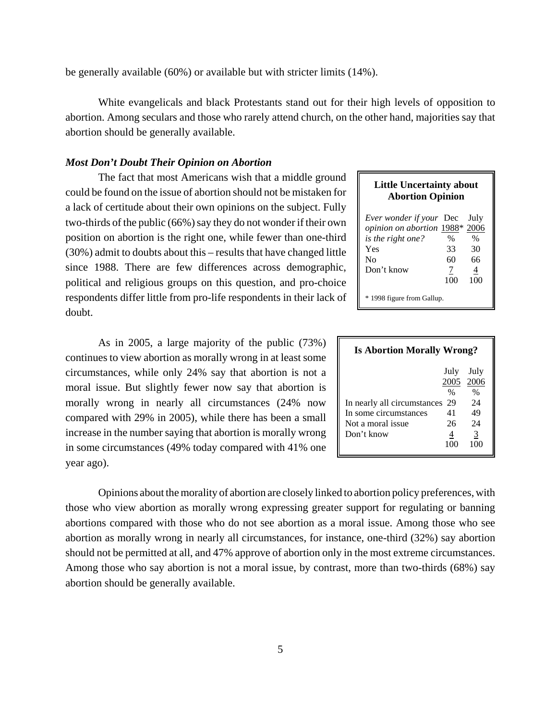be generally available (60%) or available but with stricter limits (14%).

White evangelicals and black Protestants stand out for their high levels of opposition to abortion. Among seculars and those who rarely attend church, on the other hand, majorities say that abortion should be generally available.

# *Most Don't Doubt Their Opinion on Abortion*

The fact that most Americans wish that a middle ground could be found on the issue of abortion should not be mistaken for a lack of certitude about their own opinions on the subject. Fully two-thirds of the public (66%) say they do not wonder if their own position on abortion is the right one, while fewer than one-third (30%) admit to doubts about this – results that have changed little since 1988. There are few differences across demographic, political and religious groups on this question, and pro-choice respondents differ little from pro-life respondents in their lack of doubt.

# As in 2005, a large majority of the public (73%) continues to view abortion as morally wrong in at least some circumstances, while only 24% say that abortion is not a moral issue. But slightly fewer now say that abortion is morally wrong in nearly all circumstances (24% now compared with 29% in 2005), while there has been a small increase in the number saying that abortion is morally wrong in some circumstances (49% today compared with 41% one year ago).

# **Little Uncertainty about Abortion Opinion**

| <i>Ever wonder if your</i> Dec |     | July |
|--------------------------------|-----|------|
| opinion on abortion 1988*      |     | 2006 |
| <i>is the right one?</i>       | %   | %    |
| Yes                            | 33  | 30   |
| N <sub>0</sub>                 | 60  | 66   |
| Don't know                     | 7   | 4    |
|                                | 100 | 100  |
| * 1998 figure from Gallup.     |     |      |

| <b>Is Abortion Morally Wrong?</b> |      |                   |
|-----------------------------------|------|-------------------|
|                                   | 2005 | July July<br>2006 |
|                                   | $\%$ | $\%$              |
| In nearly all circumstances 29    |      | 24                |
| In some circumstances             | 41   | 49                |
| Not a moral issue                 | 26   | 24                |
| Don't know                        |      | 3                 |
|                                   |      |                   |

Opinions about the morality of abortion are closely linked to abortion policy preferences, with those who view abortion as morally wrong expressing greater support for regulating or banning abortions compared with those who do not see abortion as a moral issue. Among those who see abortion as morally wrong in nearly all circumstances, for instance, one-third (32%) say abortion should not be permitted at all, and 47% approve of abortion only in the most extreme circumstances. Among those who say abortion is not a moral issue, by contrast, more than two-thirds (68%) say abortion should be generally available.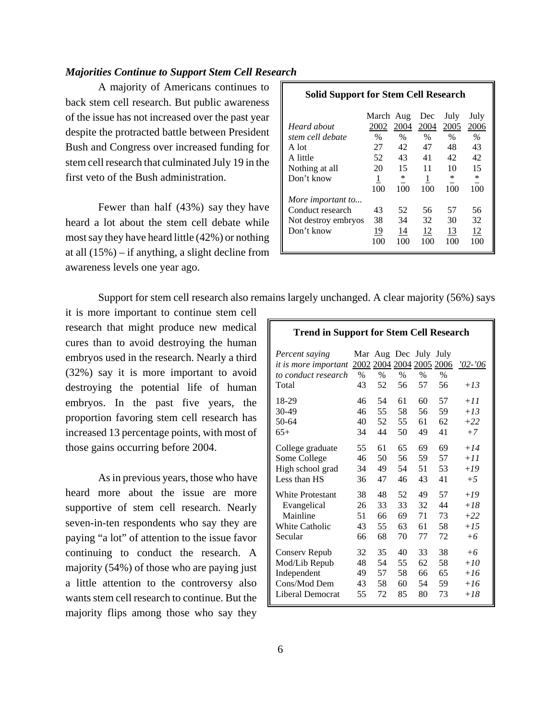# *Majorities Continue to Support Stem Cell Research*

A majority of Americans continues to back stem cell research. But public awareness of the issue has not increased over the past year despite the protracted battle between President Bush and Congress over increased funding for stem cell research that culminated July 19 in the first veto of the Bush administration.

 Fewer than half (43%) say they have heard a lot about the stem cell debate while most say they have heard little (42%) or nothing at all (15%) – if anything, a slight decline from awareness levels one year ago.

# **Solid Support for Stem Cell Research** March Aug Dec July July *Heard about* 2002 2004 2004 2005 2006 *stem cell debate* %%%% *%* A lot 27 42 47 48 43 A little 52 43 41 42 42 Nothing at all 20 15 11 10 15 Don't know  $\frac{1}{100}$   $\frac{*}{100}$   $\frac{1}{100}$   $\frac{*}{100}$   $\frac{*}{100}$  $100 \quad 100 \quad 100 \quad 100 \quad 100$ *More important to...* Conduct research 43 52 56 57 56 Not destroy embryos 38 34 32 30 32 Don't know 19 14 12 13 12 100 100 100 100 100

Support for stem cell research also remains largely unchanged. A clear majority (56%) says

it is more important to continue stem cell research that might produce new medical cures than to avoid destroying the human embryos used in the research. Nearly a third (32%) say it is more important to avoid destroying the potential life of human embryos. In the past five years, the proportion favoring stem cell research has increased 13 percentage points, with most of those gains occurring before 2004.

 As in previous years, those who have heard more about the issue are more supportive of stem cell research. Nearly seven-in-ten respondents who say they are paying "a lot" of attention to the issue favor continuing to conduct the research. A majority (54%) of those who are paying just a little attention to the controversy also wants stem cell research to continue. But the majority flips among those who say they

| Percent saying<br>it is more important 2002 2004 2004 2005 2006<br>to conduct research<br>Total | $\%$<br>43 | $\%$<br>52 | Mar Aug Dec July<br>$\%$<br>56 | $\frac{0}{0}$<br>57 | July<br>$\frac{0}{0}$<br>56 | $'02 - '06$<br>$+13$ |
|-------------------------------------------------------------------------------------------------|------------|------------|--------------------------------|---------------------|-----------------------------|----------------------|
| 18-29                                                                                           | 46         | 54         | 61                             | 60                  | 57                          | $+11$                |
| $30-49$                                                                                         | 46         | 55         | 58                             | 56                  | 59                          | $+13$                |
| 50-64                                                                                           | 40         | 52         | 55                             | 61                  | 62                          | $+22$                |
| $65+$                                                                                           | 34         | 44         | 50                             | 49                  | 41                          | $+7$                 |
| College graduate                                                                                | 55         | 61         | 65                             | 69                  | 69                          | $+14$                |
| Some College                                                                                    | 46         | 50         | 56                             | 59                  | 57                          | $+11$                |
| High school grad                                                                                | 34         | 49         | 54                             | 51                  | 53                          | $+19$                |
| Less than HS                                                                                    | 36         | 47         | 46                             | 43                  | 41                          | $+5$                 |
| <b>White Protestant</b>                                                                         | 38         | 48         | 52                             | 49                  | 57                          | $+19$                |
| Evangelical                                                                                     | 26         | 33         | 33                             | 32                  | 44                          | $+18$                |
| Mainline                                                                                        | 51         | 66         | 69                             | 71                  | 73                          | $+22$                |
| White Catholic                                                                                  | 43         | 55         | 63                             | 61                  | 58                          | $+15$                |
| Secular                                                                                         | 66         | 68         | 70                             | 77                  | 72                          | $+6$                 |
| Conserv Repub                                                                                   | 32         | 35         | 40                             | 33                  | 38                          | $+6$                 |
| Mod/Lib Repub                                                                                   | 48         | 54         | 55                             | 62                  | 58                          | $+10$                |
| Independent                                                                                     | 49         | 57         | 58                             | 66                  | 65                          | $+16$                |
| Cons/Mod Dem                                                                                    | 43         | 58         | 60                             | 54                  | 59                          | $+16$                |
| Liberal Democrat                                                                                | 55         | 72         | 85                             | 80                  | 73                          | $+18$                |

**Trend in Support for Stem Cell Research**

6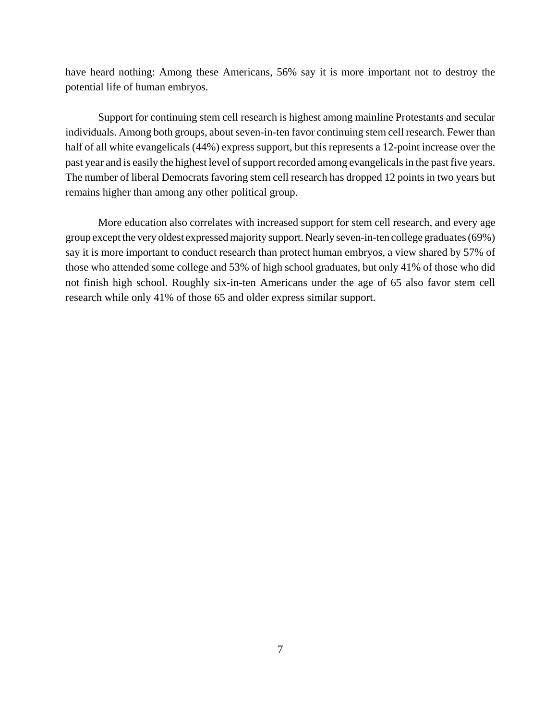have heard nothing: Among these Americans, 56% say it is more important not to destroy the potential life of human embryos.

Support for continuing stem cell research is highest among mainline Protestants and secular individuals. Among both groups, about seven-in-ten favor continuing stem cell research. Fewer than half of all white evangelicals (44%) express support, but this represents a 12-point increase over the past year and is easily the highest level of support recorded among evangelicals in the past five years. The number of liberal Democrats favoring stem cell research has dropped 12 points in two years but remains higher than among any other political group.

 More education also correlates with increased support for stem cell research, and every age group except the very oldest expressed majority support. Nearly seven-in-ten college graduates (69%) say it is more important to conduct research than protect human embryos, a view shared by 57% of those who attended some college and 53% of high school graduates, but only 41% of those who did not finish high school. Roughly six-in-ten Americans under the age of 65 also favor stem cell research while only 41% of those 65 and older express similar support.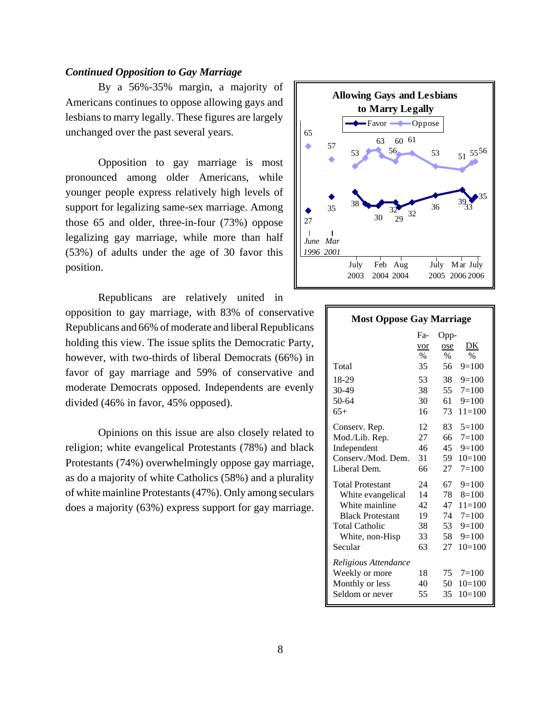# *Continued Opposition to Gay Marriage*

By a 56%-35% margin, a majority of Americans continues to oppose allowing gays and lesbians to marry legally. These figures are largely unchanged over the past several years.

Opposition to gay marriage is most pronounced among older Americans, while younger people express relatively high levels of support for legalizing same-sex marriage. Among those 65 and older, three-in-four (73%) oppose legalizing gay marriage, while more than half (53%) of adults under the age of 30 favor this position.

Republicans are relatively united in opposition to gay marriage, with 83% of conservative Republicans and 66% of moderate and liberal Republicans holding this view. The issue splits the Democratic Party, however, with two-thirds of liberal Democrats (66%) in favor of gay marriage and 59% of conservative and moderate Democrats opposed. Independents are evenly divided (46% in favor, 45% opposed).

Opinions on this issue are also closely related to religion; white evangelical Protestants (78%) and black Protestants (74%) overwhelmingly oppose gay marriage, as do a majority of white Catholics (58%) and a plurality of white mainline Protestants (47%). Only among seculars does a majority (63%) express support for gay marriage.



| <b>Most Oppose Gay Marriage</b> |                  |      |            |  |  |
|---------------------------------|------------------|------|------------|--|--|
|                                 | F <sub>a</sub> - | Opp- |            |  |  |
|                                 | vor              | ose  | DK         |  |  |
|                                 | $\%$             | $\%$ | $\%$       |  |  |
| Total                           | 35               | 56   | $9=100$    |  |  |
| 18-29                           | 53               | 38   | $9=100$    |  |  |
| $30-49$                         | 38               | 55   | $7=100$    |  |  |
| 50-64                           | 30               | 61   | $9=100$    |  |  |
| $65+$                           | 16               | 73   | $11 = 100$ |  |  |
| Conserv. Rep.                   | 12               | 83.  | $5=100$    |  |  |
| Mod./Lib. Rep.                  | 27               | 66   | $7=100$    |  |  |
| Independent                     | 46               | 45   | $9=100$    |  |  |
| Conserv./Mod. Dem.              | 31               | 59   | $10=100$   |  |  |
| Liberal Dem.                    | 66               | 27   | $7=100$    |  |  |
| <b>Total Protestant</b>         | 24               | 67   | $9=100$    |  |  |
| White evangelical               | 14               | 78   | $8=100$    |  |  |
| White mainline                  | 42               | 47   | $11 = 100$ |  |  |
| <b>Black Protestant</b>         | 19               | 74   | $7 = 100$  |  |  |
| <b>Total Catholic</b>           | 38               | 53   | $9=100$    |  |  |
| White, non-Hisp                 | 33               | 58   | $9=100$    |  |  |
| Secular                         | 63               | 27   | $10=100$   |  |  |
| Religious Attendance            |                  |      |            |  |  |
| Weekly or more                  | 18               | 75   | $7 = 100$  |  |  |
| Monthly or less                 | 40               | 50   | $10=100$   |  |  |
| Seldom or never                 | 55               | 35   | $10=100$   |  |  |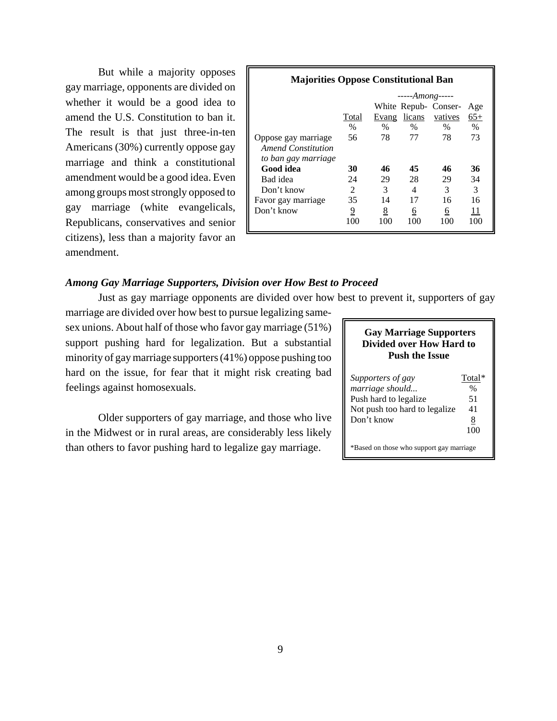But while a majority opposes gay marriage, opponents are divided on whether it would be a good idea to amend the U.S. Constitution to ban it. The result is that just three-in-ten Americans (30%) currently oppose gay marriage and think a constitutional amendment would be a good idea. Even among groups most strongly opposed to gay marriage (white evangelicals, Republicans, conservatives and senior citizens), less than a majority favor an amendment.

| <b>Majorities Oppose Constitutional Ban</b> |               |               |               |                      |               |  |
|---------------------------------------------|---------------|---------------|---------------|----------------------|---------------|--|
|                                             | $---Among---$ |               |               |                      |               |  |
|                                             |               |               |               | White Repub- Conser- | Age           |  |
|                                             | Total         | Evang         | licans        | vatives              | $65+$         |  |
|                                             | $\%$          | $\frac{0}{0}$ | $\frac{0}{0}$ | $\%$                 | $\frac{0}{0}$ |  |
| Oppose gay marriage                         | 56            | 78            | 77            | 78                   | 73            |  |
| Amend Constitution                          |               |               |               |                      |               |  |
| to ban gay marriage                         |               |               |               |                      |               |  |
| Good idea                                   | 30            | 46            | 45            | 46                   | 36            |  |
| Bad idea                                    | 24            | 29            | 28            | 29                   | 34            |  |
| Don't know                                  | 2             | 3             | 4             | 3                    | 3             |  |
| Favor gay marriage                          | 35            | 14            | 17            | 16                   | 16            |  |
| Don't know                                  | 9             | <u>8</u>      | 6             | 6                    | 11            |  |
|                                             | 100           | 100           | 100           | 100                  | 100           |  |
|                                             |               |               |               |                      |               |  |

# *Among Gay Marriage Supporters, Division over How Best to Proceed*

Just as gay marriage opponents are divided over how best to prevent it, supporters of gay

marriage are divided over how best to pursue legalizing samesex unions. About half of those who favor gay marriage (51%) support pushing hard for legalization. But a substantial minority of gay marriage supporters (41%) oppose pushing too hard on the issue, for fear that it might risk creating bad feelings against homosexuals.

Older supporters of gay marriage, and those who live in the Midwest or in rural areas, are considerably less likely than others to favor pushing hard to legalize gay marriage.

# **Gay Marriage Supporters Divided over How Hard to Push the Issue**

| Supporters of gay             | Total* |
|-------------------------------|--------|
| marriage should               | %      |
| Push hard to legalize         | 51     |
| Not push too hard to legalize | 41     |
| Don't know                    | 8      |
|                               | 100    |
|                               |        |

\*Based on those who support gay marriage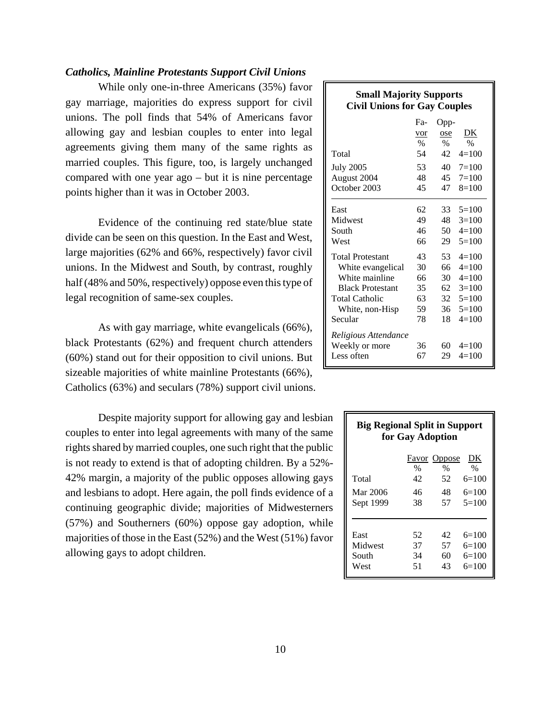# *Catholics, Mainline Protestants Support Civil Unions*

While only one-in-three Americans (35%) favor gay marriage, majorities do express support for civil unions. The poll finds that 54% of Americans favor allowing gay and lesbian couples to enter into legal agreements giving them many of the same rights as married couples. This figure, too, is largely unchanged compared with one year ago – but it is nine percentage points higher than it was in October 2003.

Evidence of the continuing red state/blue state divide can be seen on this question. In the East and West, large majorities (62% and 66%, respectively) favor civil unions. In the Midwest and South, by contrast, roughly half (48% and 50%, respectively) oppose even this type of legal recognition of same-sex couples.

As with gay marriage, white evangelicals (66%), black Protestants (62%) and frequent church attenders (60%) stand out for their opposition to civil unions. But sizeable majorities of white mainline Protestants (66%), Catholics (63%) and seculars (78%) support civil unions.

Despite majority support for allowing gay and lesbian couples to enter into legal agreements with many of the same rights shared by married couples, one such right that the public is not ready to extend is that of adopting children. By a 52%- 42% margin, a majority of the public opposes allowing gays and lesbians to adopt. Here again, the poll finds evidence of a continuing geographic divide; majorities of Midwesterners (57%) and Southerners (60%) oppose gay adoption, while majorities of those in the East (52%) and the West (51%) favor allowing gays to adopt children.

| <b>Small Majority Supports</b><br><b>Civil Unions for Gay Couples</b> |                  |      |                    |  |
|-----------------------------------------------------------------------|------------------|------|--------------------|--|
|                                                                       | F <sub>a</sub> - | Opp- |                    |  |
|                                                                       | vor              | ose  | DK                 |  |
|                                                                       | $\%$             | $\%$ | $\%$               |  |
| Total                                                                 | 54               | 42   | $4=100$            |  |
| <b>July 2005</b>                                                      | 53               |      | $40 \quad 7 = 100$ |  |
| August 2004                                                           | 48               |      | $45 \quad 7 = 100$ |  |
| October 2003                                                          | 45               | 47   | $8=100$            |  |
| East                                                                  | 62               | 33   | $5=100$            |  |
| Midwest                                                               | 49               | 48   | $3=100$            |  |
| South                                                                 | 46               | 50   | $4=100$            |  |
| West                                                                  | 66               | 29   | $5=100$            |  |
| <b>Total Protestant</b>                                               | 43               | 53   | $4=100$            |  |
| White evangelical                                                     | 30               | 66   | $4=100$            |  |
| White mainline                                                        | 66               | 30   | $4=100$            |  |
| <b>Black Protestant</b>                                               | 35               | 62   | $3=100$            |  |
| <b>Total Catholic</b>                                                 | 63               |      | $32 \quad 5 = 100$ |  |
| White, non-Hisp                                                       | 59               | 36   | $5=100$            |  |
| Secular                                                               | 78               | 18   | $4=100$            |  |
| Religious Attendance                                                  |                  |      |                    |  |
| Weekly or more                                                        | 36               | 60   | $4=100$            |  |
| Less often                                                            | 67               | 29   | $4=100$            |  |

| <b>Big Regional Split in Support</b> | for Gay Adoption       |                                               |                                             |
|--------------------------------------|------------------------|-----------------------------------------------|---------------------------------------------|
| Total<br>Mar 2006<br>Sept 1999       | $\%$<br>42<br>46<br>38 | <b>Favor</b> Oppose<br>$\%$<br>52<br>48<br>57 | DK<br>$\%$<br>$6=100$<br>$6=100$<br>$5=100$ |
| East<br>Midwest<br>South<br>West     | 52<br>37<br>34<br>51   | 42<br>57<br>60<br>43                          | $6=100$<br>$6=100$<br>$6=100$<br>$6=100$    |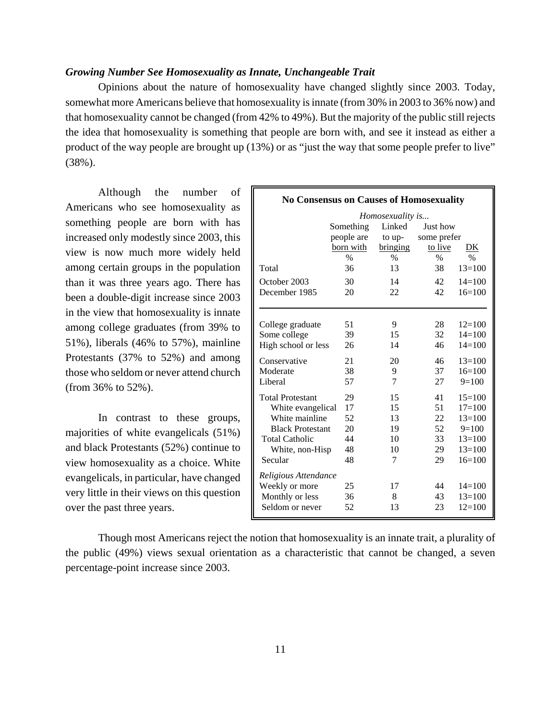# *Growing Number See Homosexuality as Innate, Unchangeable Trait*

Opinions about the nature of homosexuality have changed slightly since 2003. Today, somewhat more Americans believe that homosexuality is innate (from 30% in 2003 to 36% now) and that homosexuality cannot be changed (from 42% to 49%). But the majority of the public still rejects the idea that homosexuality is something that people are born with, and see it instead as either a product of the way people are brought up (13%) or as "just the way that some people prefer to live" (38%).

Although the number of Americans who see homosexuality as something people are born with has increased only modestly since 2003, this view is now much more widely held among certain groups in the population than it was three years ago. There has been a double-digit increase since 2003 in the view that homosexuality is innate among college graduates (from 39% to 51%), liberals (46% to 57%), mainline Protestants (37% to 52%) and among those who seldom or never attend church (from 36% to 52%).

In contrast to these groups, majorities of white evangelicals (51%) and black Protestants (52%) continue to view homosexuality as a choice. White evangelicals, in particular, have changed very little in their views on this question over the past three years.

| <b>No Consensus on Causes of Homosexuality</b> |            |                  |               |               |  |
|------------------------------------------------|------------|------------------|---------------|---------------|--|
|                                                |            | Homosexuality is |               |               |  |
|                                                | Something  | Linked           | Just how      |               |  |
|                                                | people are | to up-           | some prefer   |               |  |
|                                                | born with  | bringing         | to live       | DK            |  |
|                                                | $\%$       | $\%$             | $\frac{0}{0}$ | $\frac{0}{0}$ |  |
| Total                                          | 36         | 13               | 38            | $13 = 100$    |  |
| October 2003                                   | 30         | 14               | 42            | $14 = 100$    |  |
| December 1985                                  | 20         | 22               | 42            | $16=100$      |  |
|                                                |            |                  |               |               |  |
|                                                |            |                  |               |               |  |
| College graduate                               | 51         | 9                | 28            | $12=100$      |  |
| Some college                                   | 39         | 15               | 32            | $14 = 100$    |  |
| High school or less                            | 26         | 14               | 46            | $14=100$      |  |
| Conservative                                   | 21         | 20               | 46            | $13 = 100$    |  |
| Moderate                                       | 38         | 9                | 37            | $16=100$      |  |
| Liberal                                        | 57         | 7                | 27            | $9=100$       |  |
| <b>Total Protestant</b>                        | 29         | 15               | 41            | $15 = 100$    |  |
| White evangelical                              | 17         | 15               | 51            | $17 = 100$    |  |
| White mainline                                 | 52         | 13               | 22            | $13 = 100$    |  |
| <b>Black Protestant</b>                        | 20         | 19               | 52            | $9=100$       |  |
| <b>Total Catholic</b>                          | 44         | 10               | 33            | $13 = 100$    |  |
| White, non-Hisp                                | 48         | 10               | 29            | $13=100$      |  |
| Secular                                        | 48         | 7                | 29            | $16=100$      |  |
| Religious Attendance                           |            |                  |               |               |  |
| Weekly or more                                 | 25         | 17               | 44            | $14 = 100$    |  |
| Monthly or less                                | 36         | 8                | 43            | $13 = 100$    |  |
| Seldom or never                                | 52         | 13               | 23            | $12=100$      |  |
|                                                |            |                  |               |               |  |

Though most Americans reject the notion that homosexuality is an innate trait, a plurality of the public (49%) views sexual orientation as a characteristic that cannot be changed, a seven percentage-point increase since 2003.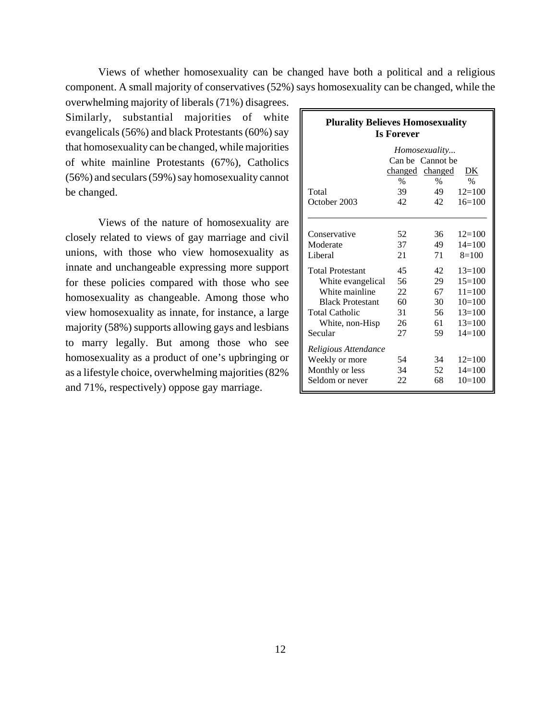Views of whether homosexuality can be changed have both a political and a religious component. A small majority of conservatives (52%) says homosexuality can be changed, while the

overwhelming majority of liberals (71%) disagrees. Similarly, substantial majorities of white evangelicals (56%) and black Protestants (60%) say that homosexuality can be changed, while majorities of white mainline Protestants (67%), Catholics (56%) and seculars (59%) say homosexuality cannot be changed.

Views of the nature of homosexuality are closely related to views of gay marriage and civil unions, with those who view homosexuality as innate and unchangeable expressing more support for these policies compared with those who see homosexuality as changeable. Among those who view homosexuality as innate, for instance, a large majority (58%) supports allowing gays and lesbians to marry legally. But among those who see homosexuality as a product of one's upbringing or as a lifestyle choice, overwhelming majorities (82% and 71%, respectively) oppose gay marriage.

| <b>Plurality Believes Homosexuality</b> | <b>Is Forever</b> |                  |            |
|-----------------------------------------|-------------------|------------------|------------|
|                                         |                   | Homosexuality    |            |
|                                         |                   | Can be Cannot be |            |
|                                         |                   | changed changed  | DK         |
|                                         | $\%$              | $\%$             | $\%$       |
| Total                                   | 39                | 49               | $12 = 100$ |
| October 2003                            | 42                | 42.              | $16=100$   |
|                                         |                   |                  |            |
| Conservative                            | 52                | 36               | $12=100$   |
| Moderate                                | 37                | 49               | $14=100$   |
| Liberal                                 | 21                | 71               | $8=100$    |
| <b>Total Protestant</b>                 | 45                | 42               | $13 = 100$ |
| White evangelical                       | 56                | 29               | $15=100$   |
| White mainline                          | 22                | 67               | $11 = 100$ |
| <b>Black Protestant</b>                 | 60                | 30               | $10=100$   |
| <b>Total Catholic</b>                   | 31                | 56               | $13=100$   |
| White, non-Hisp                         | 26                | 61               | $13 = 100$ |
| Secular                                 | 27                | 59               | $14 = 100$ |
| Religious Attendance                    |                   |                  |            |
| Weekly or more                          | 54                | 34               | $12 = 100$ |
| Monthly or less                         | 34                | 52               | $14=100$   |
| Seldom or never                         | 22                | 68               | $10=100$   |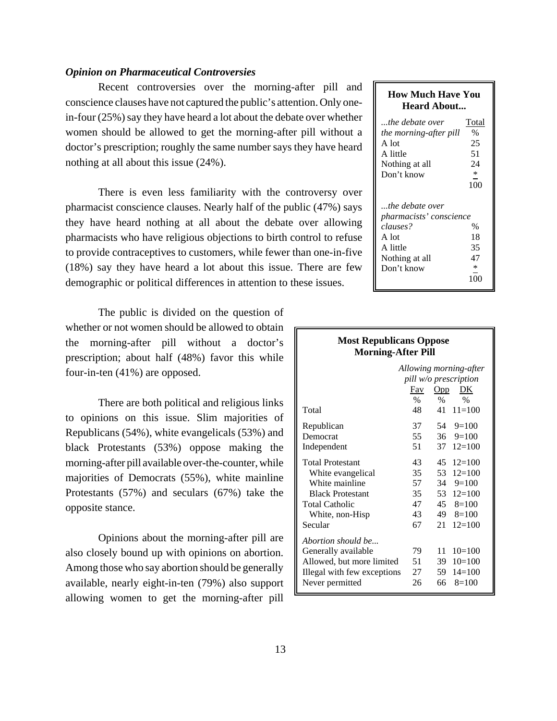## *Opinion on Pharmaceutical Controversies*

Recent controversies over the morning-after pill and conscience clauses have not captured the public's attention. Only onein-four (25%) say they have heard a lot about the debate over whether women should be allowed to get the morning-after pill without a doctor's prescription; roughly the same number says they have heard nothing at all about this issue (24%).

There is even less familiarity with the controversy over pharmacist conscience clauses. Nearly half of the public (47%) says they have heard nothing at all about the debate over allowing pharmacists who have religious objections to birth control to refuse to provide contraceptives to customers, while fewer than one-in-five (18%) say they have heard a lot about this issue. There are few demographic or political differences in attention to these issues.

The public is divided on the question of whether or not women should be allowed to obtain the morning-after pill without a doctor's prescription; about half (48%) favor this while four-in-ten (41%) are opposed.

There are both political and religious links to opinions on this issue. Slim majorities of Republicans (54%), white evangelicals (53%) and black Protestants (53%) oppose making the morning-after pill available over-the-counter, while majorities of Democrats (55%), white mainline Protestants (57%) and seculars (67%) take the opposite stance.

Opinions about the morning-after pill are also closely bound up with opinions on abortion. Among those who say abortion should be generally available, nearly eight-in-ten (79%) also support allowing women to get the morning-after pill

# **How Much Have You Heard About...** *...the debate over* Total *the morning-after pill* % A lot 25 A little 51 Nothing at all 24 Don't know 100 *...the debate over pharmacists' conscience clauses?* % A lot 18 A little 35<br>Nothing at all 47 Nothing at all Don't know \* 100

|                                                 | <b>NOST REPUDICALLS OPPOSE</b><br><b>Morning-After Pill</b> |                    |  |  |  |  |
|-------------------------------------------------|-------------------------------------------------------------|--------------------|--|--|--|--|
| Allowing morning-after<br>pill w/o prescription |                                                             |                    |  |  |  |  |
|                                                 | Fav                                                         | <u>DK</u><br>Opp   |  |  |  |  |
|                                                 | %                                                           | $\%$<br>$\%$       |  |  |  |  |
| Total                                           | 48                                                          | 41<br>$11 = 100$   |  |  |  |  |
| Republican                                      | 37                                                          | $54 \quad 9=100$   |  |  |  |  |
| Democrat                                        | 55                                                          | $36 \quad 9 = 100$ |  |  |  |  |
| Independent                                     | 51                                                          | 37<br>$12 = 100$   |  |  |  |  |
| <b>Total Protestant</b>                         | 43                                                          | 45<br>$12 = 100$   |  |  |  |  |
| White evangelical                               | 35                                                          | $12=100$<br>53     |  |  |  |  |
| White mainline                                  | 57                                                          | $34 \quad 9 = 100$ |  |  |  |  |
| <b>Black Protestant</b>                         | 35                                                          | 53<br>$12=100$     |  |  |  |  |
| <b>Total Catholic</b>                           | 47                                                          | $45 \quad 8 = 100$ |  |  |  |  |
| White, non-Hisp                                 | 43                                                          | 49<br>$8=100$      |  |  |  |  |
| Secular                                         | 67                                                          | $12 = 100$<br>21   |  |  |  |  |
| Abortion should be                              |                                                             |                    |  |  |  |  |
| Generally available                             | 79                                                          | $10=100$<br>11     |  |  |  |  |
| Allowed, but more limited                       | 51                                                          | $10=100$<br>39     |  |  |  |  |
| Illegal with few exceptions                     | 27                                                          | 59<br>$14 = 100$   |  |  |  |  |
| Never permitted                                 | 26                                                          | 66<br>$8=100$      |  |  |  |  |

**Most Republicans Oppose**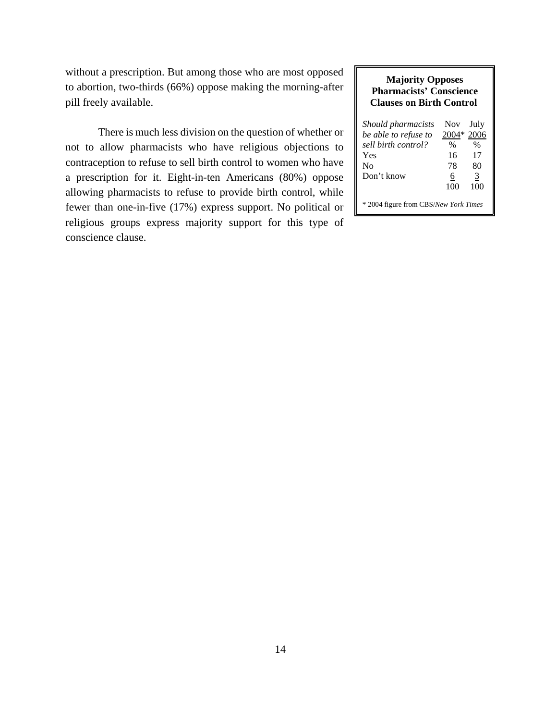without a prescription. But among those who are most opposed to abortion, two-thirds (66%) oppose making the morning-after pill freely available.

There is much less division on the question of whether or not to allow pharmacists who have religious objections to contraception to refuse to sell birth control to women who have a prescription for it. Eight-in-ten Americans (80%) oppose allowing pharmacists to refuse to provide birth control, while fewer than one-in-five (17%) express support. No political or religious groups express majority support for this type of conscience clause.

## **Majority Opposes Pharmacists' Conscience Clauses on Birth Control**

| Should pharmacists<br>be able to refuse to | <b>Nov</b><br>2004* | July<br>2006  |
|--------------------------------------------|---------------------|---------------|
| sell birth control?                        | %                   | $\frac{0}{0}$ |
| Yes                                        | 16                  | 17            |
| Nο                                         | 78                  | 80            |
| Don't know                                 | 6                   | 3             |
|                                            | 100                 | 100           |
| * 2004 figure from CBS/New York Times      |                     |               |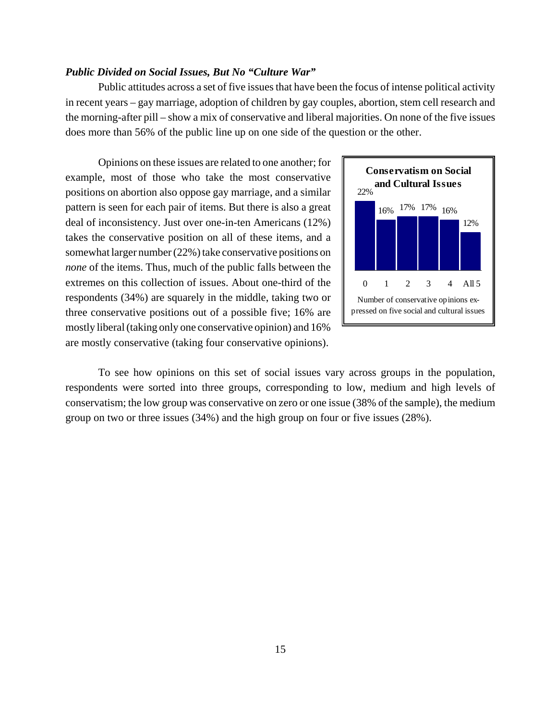# *Public Divided on Social Issues, But No "Culture War"*

Public attitudes across a set of five issues that have been the focus of intense political activity in recent years – gay marriage, adoption of children by gay couples, abortion, stem cell research and the morning-after pill – show a mix of conservative and liberal majorities. On none of the five issues does more than 56% of the public line up on one side of the question or the other.

Opinions on these issues are related to one another; for example, most of those who take the most conservative positions on abortion also oppose gay marriage, and a similar pattern is seen for each pair of items. But there is also a great deal of inconsistency. Just over one-in-ten Americans (12%) takes the conservative position on all of these items, and a somewhat larger number (22%) take conservative positions on *none* of the items. Thus, much of the public falls between the extremes on this collection of issues. About one-third of the respondents (34%) are squarely in the middle, taking two or three conservative positions out of a possible five; 16% are mostly liberal (taking only one conservative opinion) and 16% are mostly conservative (taking four conservative opinions).



To see how opinions on this set of social issues vary across groups in the population, respondents were sorted into three groups, corresponding to low, medium and high levels of conservatism; the low group was conservative on zero or one issue (38% of the sample), the medium group on two or three issues (34%) and the high group on four or five issues (28%).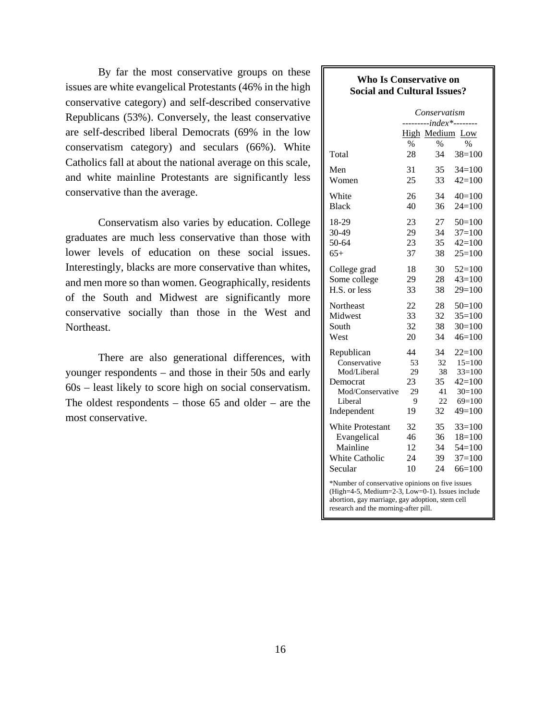By far the most conservative groups on these issues are white evangelical Protestants (46% in the high conservative category) and self-described conservative Republicans (53%). Conversely, the least conservative are self-described liberal Democrats (69% in the low conservatism category) and seculars (66%). White Catholics fall at about the national average on this scale, and white mainline Protestants are significantly less conservative than the average.

Conservatism also varies by education. College graduates are much less conservative than those with lower levels of education on these social issues. Interestingly, blacks are more conservative than whites, and men more so than women. Geographically, residents of the South and Midwest are significantly more conservative socially than those in the West and Northeast.

There are also generational differences, with younger respondents – and those in their 50s and early 60s – least likely to score high on social conservatism. The oldest respondents – those  $65$  and older – are the most conservative.

# **Who Is Conservative on Social and Cultural Issues?**

|                                                                                                    | Conservatism<br>--- <i>index*----</i> - |      |             |  |  |
|----------------------------------------------------------------------------------------------------|-----------------------------------------|------|-------------|--|--|
|                                                                                                    | High Medium<br>$\%$                     | $\%$ | Low<br>$\%$ |  |  |
| Total                                                                                              | 28                                      | 34   | $38=100$    |  |  |
| Men                                                                                                | 31                                      | 35   | $34=100$    |  |  |
| Women                                                                                              | 25                                      | 33   | $42=100$    |  |  |
| White                                                                                              | 26                                      | 34   | $40=100$    |  |  |
| <b>Black</b>                                                                                       | 40                                      | 36   | $24=100$    |  |  |
| 18-29                                                                                              | 23                                      | 27   | $50=100$    |  |  |
| 30-49                                                                                              | 29                                      | 34   | $37=100$    |  |  |
| 50-64                                                                                              | 23                                      | 35   | $42 = 100$  |  |  |
| $65+$                                                                                              | 37                                      | 38   | $25=100$    |  |  |
| College grad                                                                                       | 18                                      | 30   | $52=100$    |  |  |
| Some college                                                                                       | 29                                      | 28   | $43=100$    |  |  |
| H.S. or less                                                                                       | 33                                      | 38   | $29=100$    |  |  |
| Northeast                                                                                          | 22                                      | 28   | $50=100$    |  |  |
| Midwest                                                                                            | 33                                      | 32   | $35=100$    |  |  |
| South                                                                                              | 32                                      | 38   | $30=100$    |  |  |
| West                                                                                               | 20                                      | 34   | $46=100$    |  |  |
| Republican                                                                                         | 44                                      | 34   | $22 = 100$  |  |  |
| Conservative                                                                                       | 53                                      | 32   | $15=100$    |  |  |
| Mod/Liberal                                                                                        | 29                                      | 38   | $33=100$    |  |  |
| Democrat                                                                                           | 23                                      | 35   | $42 = 100$  |  |  |
| Mod/Conservative                                                                                   | 29                                      | 41   | $30=100$    |  |  |
| Liberal                                                                                            | 9                                       | 22   | $69=100$    |  |  |
| Independent                                                                                        | 19                                      | 32   | $49=100$    |  |  |
| White Protestant                                                                                   | 32                                      | 35   | $33=100$    |  |  |
| Evangelical                                                                                        | 46                                      | 36   | $18=100$    |  |  |
| Mainline                                                                                           | 12                                      | 34   | $54=100$    |  |  |
| <b>White Catholic</b>                                                                              | 24                                      | 39   | $37=100$    |  |  |
| Secular                                                                                            | 10                                      | 24   | $66=100$    |  |  |
| *Number of conservative opinions on five issues<br>(High=4-5, Medium=2-3, Low=0-1). Issues include |                                         |      |             |  |  |

abortion, gay marriage, gay adoption, stem cell research and the morning-after pill.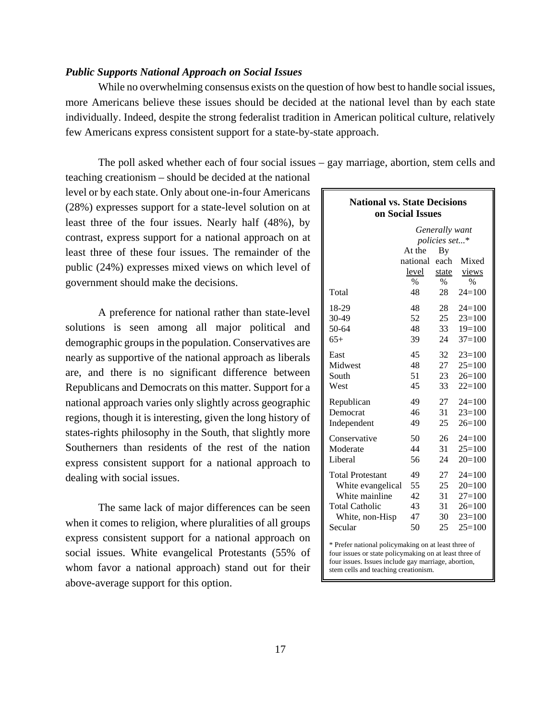# *Public Supports National Approach on Social Issues*

While no overwhelming consensus exists on the question of how best to handle social issues, more Americans believe these issues should be decided at the national level than by each state individually. Indeed, despite the strong federalist tradition in American political culture, relatively few Americans express consistent support for a state-by-state approach.

The poll asked whether each of four social issues – gay marriage, abortion, stem cells and

teaching creationism – should be decided at the national level or by each state. Only about one-in-four Americans (28%) expresses support for a state-level solution on at least three of the four issues. Nearly half (48%), by contrast, express support for a national approach on at least three of these four issues. The remainder of the public (24%) expresses mixed views on which level of government should make the decisions.

A preference for national rather than state-level solutions is seen among all major political and demographic groups in the population. Conservatives are nearly as supportive of the national approach as liberals are, and there is no significant difference between Republicans and Democrats on this matter. Support for a national approach varies only slightly across geographic regions, though it is interesting, given the long history of states-rights philosophy in the South, that slightly more Southerners than residents of the rest of the nation express consistent support for a national approach to dealing with social issues.

The same lack of major differences can be seen when it comes to religion, where pluralities of all groups express consistent support for a national approach on social issues. White evangelical Protestants (55% of whom favor a national approach) stand out for their above-average support for this option.

| <b>National vs. State Decisions</b><br>on Social Issues |          |                |            |  |
|---------------------------------------------------------|----------|----------------|------------|--|
|                                                         |          | Generally want |            |  |
|                                                         |          | policies set*  |            |  |
|                                                         | At the   | By             |            |  |
|                                                         | national | each           | Mixed      |  |
|                                                         | level    | state          | views      |  |
|                                                         | $\%$     | $\%$           | $\%$       |  |
| Total                                                   | 48       | 28             | $24=100$   |  |
| 18-29                                                   | 48       | 28             | $24 = 100$ |  |
| 30-49                                                   | 52       | 25             | $23=100$   |  |
| 50-64                                                   | 48       | 33             | $19=100$   |  |
| $65+$                                                   | 39       | 24             | $37 = 100$ |  |
| East                                                    | 45       | 32             | $23=100$   |  |
| Midwest                                                 | 48       | 27             | $25=100$   |  |
| South                                                   | 51       | 23             | $26=100$   |  |
| West                                                    | 45       | 33             | $22=100$   |  |
| Republican                                              | 49       | 27             | $24=100$   |  |
| Democrat                                                | 46       | 31             | $23=100$   |  |
| Independent                                             | 49       | 25             | $26=100$   |  |
| Conservative                                            | 50       | 26             | $24=100$   |  |
| Moderate                                                | 44       | 31             | $25=100$   |  |
| Liberal                                                 | 56       | 24             | $20=100$   |  |
| <b>Total Protestant</b>                                 | 49       | 27             | $24 = 100$ |  |
| White evangelical                                       | 55       | 25             | $20=100$   |  |
| White mainline                                          | 42       | 31             | $27 = 100$ |  |
| <b>Total Catholic</b>                                   | 43       | 31             | $26=100$   |  |
| White, non-Hisp                                         | 47       | 30             | $23=100$   |  |
| Secular                                                 | 50       | 25             | $25=100$   |  |

\* Prefer national policymaking on at least three of four issues or state policymaking on at least three of four issues. Issues include gay marriage, abortion, stem cells and teaching creationism.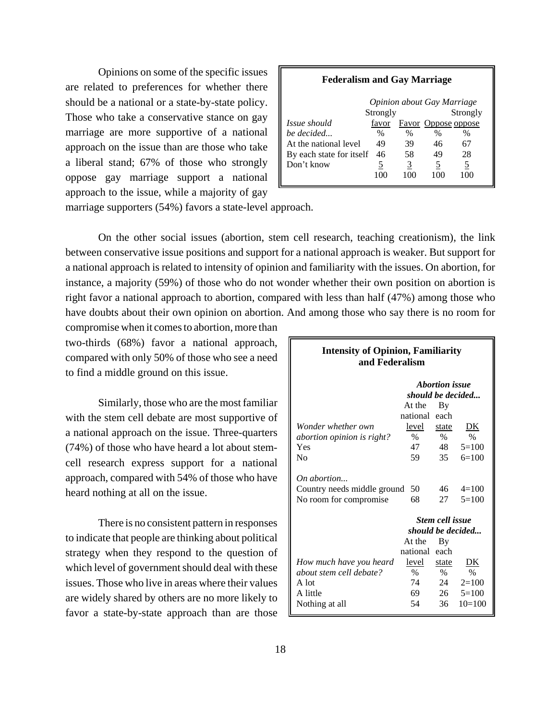Opinions on some of the specific issues are related to preferences for whether there should be a national or a state-by-state policy. Those who take a conservative stance on gay marriage are more supportive of a national approach on the issue than are those who take a liberal stand; 67% of those who strongly oppose gay marriage support a national approach to the issue, while a majority of gay

# **Federalism and Gay Marriage**

|                          | Opinion about Gay Marriage |      |                     |      |  |
|--------------------------|----------------------------|------|---------------------|------|--|
|                          | Strongly                   |      | Strongly            |      |  |
| <i>Issue should</i>      | favor                      |      | Favor Oppose oppose |      |  |
| be decided               | $\%$                       | $\%$ | $\%$                | $\%$ |  |
| At the national level    | 49                         | 39   | 46                  |      |  |
| By each state for itself | 46                         | 58   | 49                  | 28   |  |
| Don't know               | 5                          | 3    | 5                   | 5    |  |
|                          | 100                        |      | 100                 | 100  |  |
|                          |                            |      |                     |      |  |

marriage supporters (54%) favors a state-level approach.

On the other social issues (abortion, stem cell research, teaching creationism), the link between conservative issue positions and support for a national approach is weaker. But support for a national approach is related to intensity of opinion and familiarity with the issues. On abortion, for instance, a majority (59%) of those who do not wonder whether their own position on abortion is right favor a national approach to abortion, compared with less than half (47%) among those who have doubts about their own opinion on abortion. And among those who say there is no room for

compromise when it comes to abortion, more than two-thirds (68%) favor a national approach, compared with only 50% of those who see a need to find a middle ground on this issue.

Similarly, those who are the most familiar with the stem cell debate are most supportive of a national approach on the issue. Three-quarters (74%) of those who have heard a lot about stemcell research express support for a national approach, compared with 54% of those who have heard nothing at all on the issue.

There is no consistent pattern in responses to indicate that people are thinking about political strategy when they respond to the question of which level of government should deal with these issues. Those who live in areas where their values are widely shared by others are no more likely to favor a state-by-state approach than are those

| <b>Intensity of Opinion, Familiarity</b><br>and Federalism           |          |                        |                    |  |  |
|----------------------------------------------------------------------|----------|------------------------|--------------------|--|--|
| <b>Abortion</b> issue<br>should be decided                           |          |                        |                    |  |  |
|                                                                      | At the   | By                     |                    |  |  |
|                                                                      | national | each                   |                    |  |  |
| Wonder whether own                                                   | level    | state                  | DK                 |  |  |
| abortion opinion is right?                                           | $\%$     | $\%$                   | $\frac{0}{0}$      |  |  |
| Yes                                                                  | 47       | 48                     | $5=100$            |  |  |
| No                                                                   | 59       | 35                     | $6=100$            |  |  |
| On abortion<br>Country needs middle ground<br>No room for compromise | 50<br>68 | 46<br>27               | $4=100$<br>$5=100$ |  |  |
|                                                                      |          | <b>Stem cell issue</b> |                    |  |  |
|                                                                      |          |                        | should be decided  |  |  |
|                                                                      | At the   | By                     |                    |  |  |
|                                                                      | national | each                   |                    |  |  |
| How much have you heard                                              | level    | state                  | DK                 |  |  |
| about stem cell debate?                                              | $\%$     | $\%$                   | $\frac{0}{0}$      |  |  |
| A lot                                                                | 74       | 24                     | $2=100$            |  |  |
| A little                                                             | 69       | 26                     | $5=100$            |  |  |
| Nothing at all                                                       | 54       | 36                     | $10=100$           |  |  |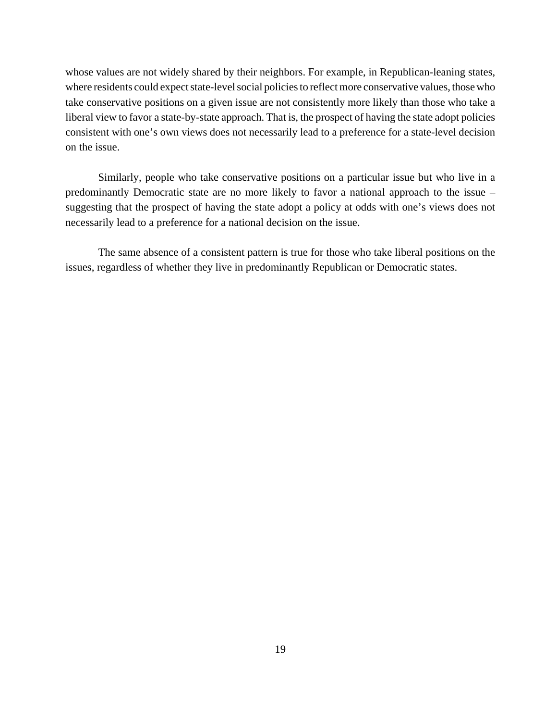whose values are not widely shared by their neighbors. For example, in Republican-leaning states, where residents could expect state-level social policies to reflect more conservative values, those who take conservative positions on a given issue are not consistently more likely than those who take a liberal view to favor a state-by-state approach. That is, the prospect of having the state adopt policies consistent with one's own views does not necessarily lead to a preference for a state-level decision on the issue.

Similarly, people who take conservative positions on a particular issue but who live in a predominantly Democratic state are no more likely to favor a national approach to the issue – suggesting that the prospect of having the state adopt a policy at odds with one's views does not necessarily lead to a preference for a national decision on the issue.

The same absence of a consistent pattern is true for those who take liberal positions on the issues, regardless of whether they live in predominantly Republican or Democratic states.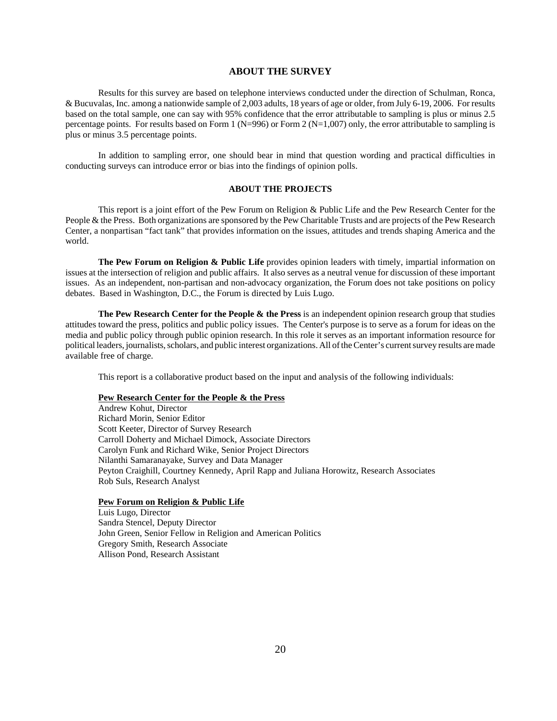### **ABOUT THE SURVEY**

Results for this survey are based on telephone interviews conducted under the direction of Schulman, Ronca, & Bucuvalas, Inc. among a nationwide sample of 2,003 adults, 18 years of age or older, from July 6-19, 2006. For results based on the total sample, one can say with 95% confidence that the error attributable to sampling is plus or minus 2.5 percentage points. For results based on Form 1 ( $N=996$ ) or Form 2 ( $N=1,007$ ) only, the error attributable to sampling is plus or minus 3.5 percentage points.

In addition to sampling error, one should bear in mind that question wording and practical difficulties in conducting surveys can introduce error or bias into the findings of opinion polls.

### **ABOUT THE PROJECTS**

This report is a joint effort of the Pew Forum on Religion & Public Life and the Pew Research Center for the People & the Press. Both organizations are sponsored by the Pew Charitable Trusts and are projects of the Pew Research Center, a nonpartisan "fact tank" that provides information on the issues, attitudes and trends shaping America and the world.

**The Pew Forum on Religion & Public Life** provides opinion leaders with timely, impartial information on issues at the intersection of religion and public affairs. It also serves as a neutral venue for discussion of these important issues. As an independent, non-partisan and non-advocacy organization, the Forum does not take positions on policy debates. Based in Washington, D.C., the Forum is directed by Luis Lugo.

**The Pew Research Center for the People & the Press** is an independent opinion research group that studies attitudes toward the press, politics and public policy issues. The Center's purpose is to serve as a forum for ideas on the media and public policy through public opinion research. In this role it serves as an important information resource for political leaders, journalists, scholars, and public interest organizations. All of the Center's current survey results are made available free of charge.

This report is a collaborative product based on the input and analysis of the following individuals:

#### **Pew Research Center for the People & the Press**

Andrew Kohut, Director Richard Morin, Senior Editor Scott Keeter, Director of Survey Research Carroll Doherty and Michael Dimock, Associate Directors Carolyn Funk and Richard Wike, Senior Project Directors Nilanthi Samaranayake, Survey and Data Manager Peyton Craighill, Courtney Kennedy, April Rapp and Juliana Horowitz, Research Associates Rob Suls, Research Analyst

#### **Pew Forum on Religion & Public Life**

Luis Lugo, Director Sandra Stencel, Deputy Director John Green, Senior Fellow in Religion and American Politics Gregory Smith, Research Associate Allison Pond, Research Assistant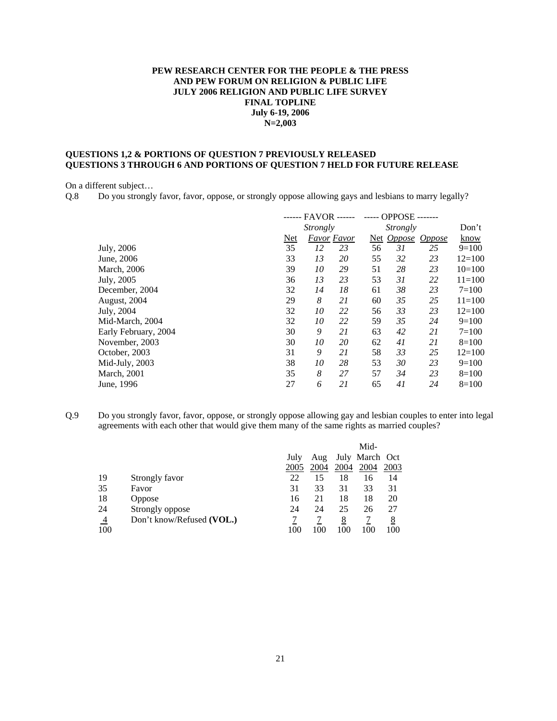## **PEW RESEARCH CENTER FOR THE PEOPLE & THE PRESS AND PEW FORUM ON RELIGION & PUBLIC LIFE JULY 2006 RELIGION AND PUBLIC LIFE SURVEY FINAL TOPLINE July 6-19, 2006 N=2,003**

### **QUESTIONS 1,2 & PORTIONS OF QUESTION 7 PREVIOUSLY RELEASED QUESTIONS 3 THROUGH 6 AND PORTIONS OF QUESTION 7 HELD FOR FUTURE RELEASE**

On a different subject…

Q.8 Do you strongly favor, favor, oppose, or strongly oppose allowing gays and lesbians to marry legally?

|                      |     | ------ FAVOR ------ |                    |                 | <b>OPPOSE-</b><br>$- - - - -$ |               |            |
|----------------------|-----|---------------------|--------------------|-----------------|-------------------------------|---------------|------------|
|                      |     | Strongly            |                    | <i>Strongly</i> |                               |               | Don't      |
|                      | Net |                     | <b>Favor Favor</b> |                 | Net <i>Oppose</i>             | <i>Oppose</i> | know       |
| July, 2006           | 35  | 12                  | 23                 | 56              | 31                            | 25            | $9=100$    |
| June, 2006           | 33  | 13                  | 20                 | 55              | 32                            | 23            | $12=100$   |
| March, 2006          | 39  | 10                  | 29                 | 51              | 28                            | 23            | $10=100$   |
| July, 2005           | 36  | 13                  | 23                 | 53              | 31                            | 22            | $11 = 100$ |
| December, 2004       | 32  | 14                  | 18                 | 61              | 38                            | 23            | $7 = 100$  |
| August, 2004         | 29  | 8                   | 21                 | 60              | 35                            | 25            | $11 = 100$ |
| July, 2004           | 32  | 10                  | 22                 | 56              | 33                            | 23            | $12 = 100$ |
| Mid-March, 2004      | 32  | 10                  | 22                 | 59              | 35                            | 24            | $9=100$    |
| Early February, 2004 | 30  | 9                   | 21                 | 63              | 42                            | 21            | $7=100$    |
| November, 2003       | 30  | 10                  | 20                 | 62              | 41                            | 21            | $8=100$    |
| October, 2003        | 31  | 9                   | 21                 | 58              | 33                            | 25            | $12=100$   |
| Mid-July, 2003       | 38  | 10                  | 28                 | 53              | 30                            | 23            | $9=100$    |
| March, 2001          | 35  | 8                   | 27                 | 57              | 34                            | 23            | $8=100$    |
| June, 1996           | 27  | 6                   | 21                 | 65              | 41                            | 24            | $8=100$    |
|                      |     |                     |                    |                 |                               |               |            |

Q.9 Do you strongly favor, favor, oppose, or strongly oppose allowing gay and lesbian couples to enter into legal agreements with each other that would give them many of the same rights as married couples?

|                |                           |      |      |      | Mid-           |      |
|----------------|---------------------------|------|------|------|----------------|------|
|                |                           | July | Aug  |      | July March Oct |      |
|                |                           | 2005 | 2004 | 2004 | 2004           | 2003 |
| 19             | Strongly favor            | 22   | 15   | 18   | 16             | 14   |
| 35             | Favor                     | 31   | 33   | 31   | 33             | 31   |
| 18             | Oppose                    | 16   | 21   | 18   | 18             | 20   |
| 24             | Strongly oppose           | 24   | 24   | 25   | 26             | 27   |
| $\overline{4}$ | Don't know/Refused (VOL.) |      |      | 8    |                | 8    |
| 100            |                           | 100  | 100  | 100  | 100            | 100  |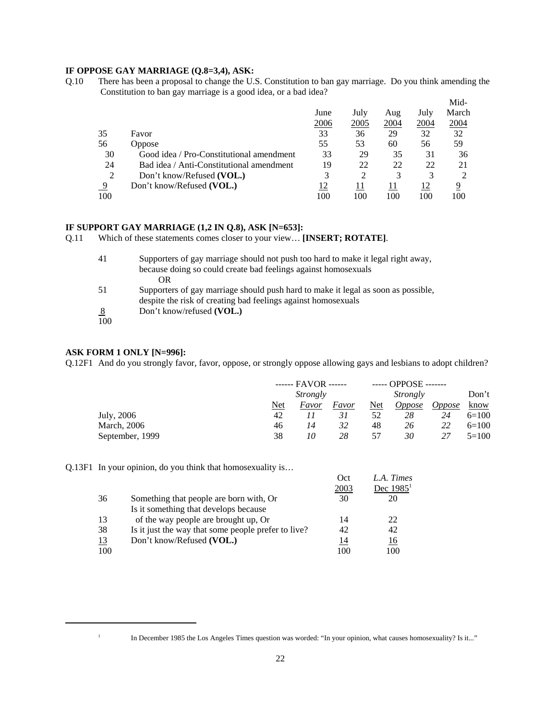### **IF OPPOSE GAY MARRIAGE (Q.8=3,4), ASK:**

Q.10 There has been a proposal to change the U.S. Constitution to ban gay marriage. Do you think amending the Constitution to ban gay marriage is a good idea, or a bad idea? Mid-

|                                          |      |      |      |      | M <sub>1</sub> d- |
|------------------------------------------|------|------|------|------|-------------------|
|                                          | June | July | Aug  | July | March             |
|                                          | 2006 | 2005 | 2004 | 2004 | 2004              |
| Favor                                    | 33   | 36   | 29   | 32   | 32                |
| <b>Oppose</b>                            | 55   | 53   | 60   | 56   | 59                |
| Good idea / Pro-Constitutional amendment | 33   | 29   | 35   | 31   | 36                |
| Bad idea / Anti-Constitutional amendment | 19   | 22   | 22   | 22   | 21                |
| Don't know/Refused (VOL.)                | 3    | 2    | 3    |      |                   |
| Don't know/Refused (VOL.)                | 12   | 11   | 11   | 12   | 9                 |
|                                          | 100  | 100  | 100  | 100  | 100               |
|                                          |      |      |      |      |                   |

#### **IF SUPPORT GAY MARRIAGE (1,2 IN Q.8), ASK [N=653]:**

Q.11 Which of these statements comes closer to your view… **[INSERT; ROTATE]**.

| 41  | Supporters of gay marriage should not push too hard to make it legal right away,                                                                   |
|-----|----------------------------------------------------------------------------------------------------------------------------------------------------|
|     | because doing so could create bad feelings against homosexuals                                                                                     |
|     | OR                                                                                                                                                 |
| 51  | Supporters of gay marriage should push hard to make it legal as soon as possible.<br>despite the risk of creating bad feelings against homosexuals |
| 8   | Don't know/refused (VOL.)                                                                                                                          |
| 100 |                                                                                                                                                    |

### **ASK FORM 1 ONLY [N=996]:**

Q.12F1 And do you strongly favor, favor, oppose, or strongly oppose allowing gays and lesbians to adopt children?

|                 | $---$ FAVOR $---$ |          |       | $---$ OPPOSE $---$ |               |               |         |  |
|-----------------|-------------------|----------|-------|--------------------|---------------|---------------|---------|--|
|                 |                   | Strongly |       |                    | Strongly      |               |         |  |
|                 | Net               | Favor    | Favor | <b>Net</b>         | <i>Oppose</i> | <i>Oppose</i> | know    |  |
| July, 2006      | 42                |          | 31    | 52                 | 28            | 24            | $6=100$ |  |
| March, 2006     | 46                | 14       | 32    | 48                 | 26            | 22            | $6=100$ |  |
| September, 1999 | 38                | 10       | 28    | 57                 | 30            | 27            | $5=100$ |  |

Q.13F1 In your opinion, do you think that homosexuality is…

|     |                                                     | Oct  | L.A. Times  |
|-----|-----------------------------------------------------|------|-------------|
|     |                                                     | 2003 | Dec $19851$ |
| 36  | Something that people are born with, Or             | 30   | 20          |
|     | Is it something that develops because               |      |             |
| 13  | of the way people are brought up, Or                | 14   | 22          |
| 38  | Is it just the way that some people prefer to live? | 42   | 42          |
| 13  | Don't know/Refused (VOL.)                           | 14   | <u> 16</u>  |
| 100 |                                                     | 100  | 100         |

<sup>&</sup>lt;sup>1</sup> In December 1985 the Los Angeles Times question was worded: "In your opinion, what causes homosexuality? Is it..."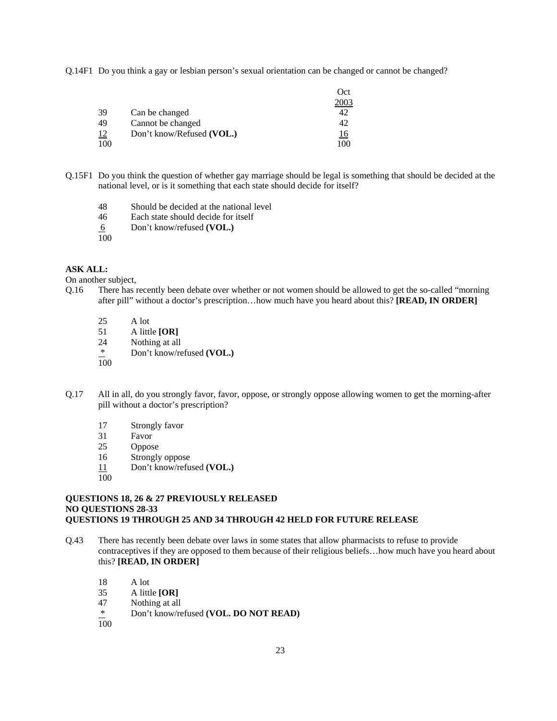Q.14F1 Do you think a gay or lesbian person's sexual orientation can be changed or cannot be changed?

|           |                           | Oct  |
|-----------|---------------------------|------|
|           |                           | 2003 |
| 39        | Can be changed            |      |
| 49        | Cannot be changed         | 42   |
| <u>12</u> | Don't know/Refused (VOL.) | 16   |
| 100       |                           | 10C  |

- Q.15F1 Do you think the question of whether gay marriage should be legal is something that should be decided at the national level, or is it something that each state should decide for itself?
	- 48 Should be decided at the national level
	- 46 Each state should decide for itself
	- 6 Don't know/refused **(VOL.)**
	- 100

### **ASK ALL:**

On another subject,

- Q.16 There has recently been debate over whether or not women should be allowed to get the so-called "morning after pill" without a doctor's prescription…how much have you heard about this? **[READ, IN ORDER]**
	- 25 A lot<br>51 A littl
	- 51 A little **[OR]**
	- 24 Nothing at all
	- \* Don't know/refused **(VOL.)**
	- 100
- Q.17 All in all, do you strongly favor, favor, oppose, or strongly oppose allowing women to get the morning-after pill without a doctor's prescription?
	- 17 Strongly favor
	- 31 Favor
	- 25 Oppose
	- 16 Strongly oppose
	- 11 Don't know/refused **(VOL.)**
	- 100

### **QUESTIONS 18, 26 & 27 PREVIOUSLY RELEASED NO QUESTIONS 28-33 QUESTIONS 19 THROUGH 25 AND 34 THROUGH 42 HELD FOR FUTURE RELEASE**

- Q.43 There has recently been debate over laws in some states that allow pharmacists to refuse to provide contraceptives if they are opposed to them because of their religious beliefs…how much have you heard about this? **[READ, IN ORDER]** 
	- 18 A lot
	- 35 A little **[OR]**
	- 47 Nothing at all
	- \* Don't know/refused **(VOL. DO NOT READ)**
	- $\overline{100}$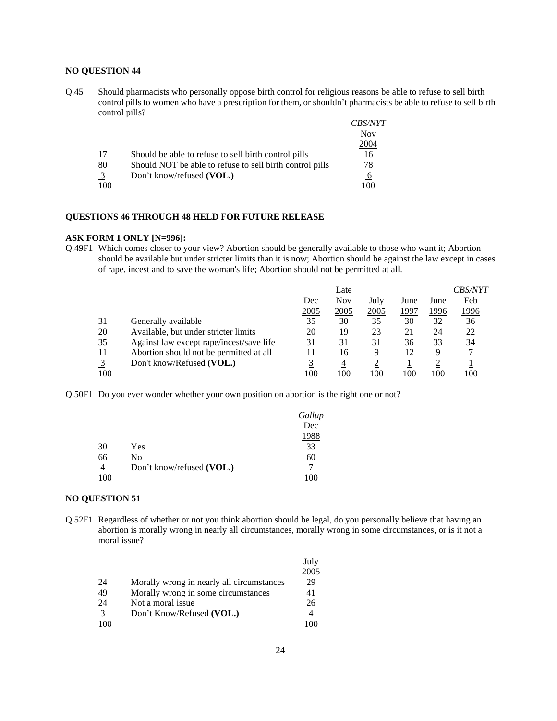## **NO QUESTION 44**

Q.45 Should pharmacists who personally oppose birth control for religious reasons be able to refuse to sell birth control pills to women who have a prescription for them, or shouldn't pharmacists be able to refuse to sell birth control pills?

|                | common binner.                                           |                |
|----------------|----------------------------------------------------------|----------------|
|                |                                                          | <i>CBS/NYT</i> |
|                |                                                          | <b>Nov</b>     |
|                |                                                          | 2004           |
| 17             | Should be able to refuse to sell birth control pills     | 16             |
| 80             | Should NOT be able to refuse to sell birth control pills | 78             |
| $\overline{3}$ | Don't know/refused (VOL.)                                | 6              |
| 100            |                                                          | 100            |

### **QUESTIONS 46 THROUGH 48 HELD FOR FUTURE RELEASE**

#### **ASK FORM 1 ONLY [N=996]:**

Q.49F1 Which comes closer to your view? Abortion should be generally available to those who want it; Abortion should be available but under stricter limits than it is now; Abortion should be against the law except in cases of rape, incest and to save the woman's life; Abortion should not be permitted at all.

|     |                                          |      | Late |      |      |      | <i>CBS/NYT</i> |
|-----|------------------------------------------|------|------|------|------|------|----------------|
|     |                                          | Dec  | Nov  | July | June | June | Feb            |
|     |                                          | 2005 | 2005 | 2005 | 1997 | 1996 | 1996           |
| 31  | Generally available                      | 35   | 30   | 35   | 30   | 32   | 36             |
| 20  | Available, but under stricter limits     | 20   | 19   | 23   | 21   | 24   | 22             |
| 35  | Against law except rape/incest/save life | 31   | 31   | 31   | 36   | 33   | 34             |
| 11  | Abortion should not be permitted at all  |      | 16   | 9    | 12   | 9    |                |
|     | Don't know/Refused (VOL.)                |      | 4    |      |      |      |                |
| 100 |                                          | 100  | 100  | 100  | 100  | 100  | 100            |

Q.50F1 Do you ever wonder whether your own position on abortion is the right one or not?

|                |                           | Gallup |
|----------------|---------------------------|--------|
|                |                           | Dec    |
|                |                           | 1988   |
| 30             | Yes                       | 33     |
| 66             | No                        | 60     |
| $\overline{4}$ | Don't know/refused (VOL.) |        |
| 100            |                           | 100    |

### **NO QUESTION 51**

Q.52F1 Regardless of whether or not you think abortion should be legal, do you personally believe that having an abortion is morally wrong in nearly all circumstances, morally wrong in some circumstances, or is it not a moral issue?

|                |                                           | July |
|----------------|-------------------------------------------|------|
|                |                                           | 2005 |
| 24             | Morally wrong in nearly all circumstances | 29   |
| 49             | Morally wrong in some circumstances       | 41   |
| 24             | Not a moral issue                         | 26   |
| $\overline{3}$ | Don't Know/Refused (VOL.)                 | 4    |
| 100            |                                           |      |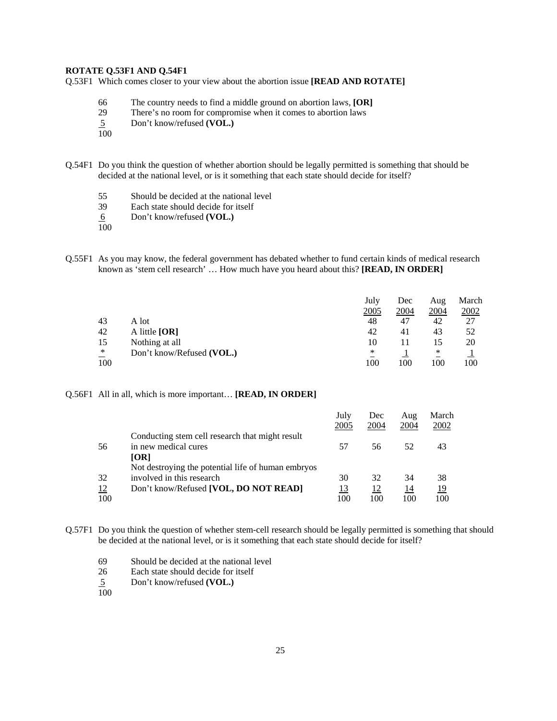### **ROTATE Q.53F1 AND Q.54F1**

Q.53F1 Which comes closer to your view about the abortion issue **[READ AND ROTATE]** 

- 66 The country needs to find a middle ground on abortion laws, **[OR]**
- 29 There's no room for compromise when it comes to abortion laws
- 5 Don't know/refused **(VOL.)**
- 100
- Q.54F1 Do you think the question of whether abortion should be legally permitted is something that should be decided at the national level, or is it something that each state should decide for itself?
	- 55 Should be decided at the national level<br>39 Each state should decide for itself
	- Each state should decide for itself
	- 6 Don't know/refused **(VOL.)**
	- 100
- Q.55F1 As you may know, the federal government has debated whether to fund certain kinds of medical research known as 'stem cell research' … How much have you heard about this? **[READ, IN ORDER]**

|                                    |                           | July | Dec  | Aug  | March |
|------------------------------------|---------------------------|------|------|------|-------|
|                                    |                           | 2005 | 2004 | 2004 | 2002  |
| 43                                 | A lot-                    | 48   | 47   | 42   | 27    |
| 42                                 | A little $[OR]$           | 42   | 41   | 43   | 52    |
| 15                                 | Nothing at all            | 10   |      | 15   | 20    |
| $\ast$<br>$\overline{\phantom{a}}$ | Don't know/Refused (VOL.) | *    |      | ∗    |       |
| 100                                |                           | 100  | 100  | 100  | 100   |

Q.56F1 All in all, which is more important… **[READ, IN ORDER]** 

|     |                                                    | July<br>2005 | Dec<br>2004 | Aug<br>2004 | March<br>2002 |
|-----|----------------------------------------------------|--------------|-------------|-------------|---------------|
|     | Conducting stem cell research that might result    |              |             |             |               |
| 56  | in new medical cures                               | 57           | 56          | 52          | 43            |
|     | <b>[OR]</b>                                        |              |             |             |               |
|     | Not destroying the potential life of human embryos |              |             |             |               |
| 32  | involved in this research                          | 30           | 32          | 34          | 38            |
| 12  | Don't know/Refused [VOL, DO NOT READ]              | 13           | 12          | 14          | <u> 19</u>    |
| 100 |                                                    | 100          | 100         | 100         | 100           |

Q.57F1 Do you think the question of whether stem-cell research should be legally permitted is something that should be decided at the national level, or is it something that each state should decide for itself?

- 69 Should be decided at the national level
- 26 Each state should decide for itself
- 5 Don't know/refused **(VOL.)**  $rac{5}{100}$
-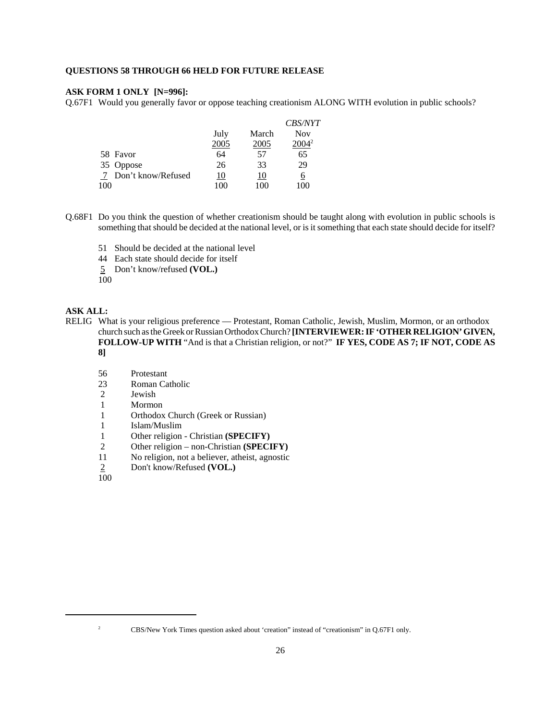### **QUESTIONS 58 THROUGH 66 HELD FOR FUTURE RELEASE**

### **ASK FORM 1 ONLY [N=996]:**

Q.67F1 Would you generally favor or oppose teaching creationism ALONG WITH evolution in public schools?

|     |                    |      |       | <b>CBS/NYT</b> |
|-----|--------------------|------|-------|----------------|
|     |                    | July | March | <b>Nov</b>     |
|     |                    | 2005 | 2005  | $2004^2$       |
|     | 58 Favor           | 64   | 57    | 65             |
|     | 35 Oppose          | 26   | 33    | 29             |
| - 7 | Don't know/Refused | 10   | 10    | 6              |
| 100 |                    | 100  | 100   | 100            |

- Q.68F1 Do you think the question of whether creationism should be taught along with evolution in public schools is something that should be decided at the national level, or is it something that each state should decide for itself?
	- 51 Should be decided at the national level
	- 44 Each state should decide for itself
	- 5 Don't know/refused **(VOL.)**

100

### **ASK ALL:**

- RELIG What is your religious preference Protestant, Roman Catholic, Jewish, Muslim, Mormon, or an orthodox church such as the Greek or Russian Orthodox Church? **[INTERVIEWER: IF 'OTHER RELIGION' GIVEN, FOLLOW-UP WITH** "And is that a Christian religion, or not?" **IF YES, CODE AS 7; IF NOT, CODE AS 8]**
	- 56 Protestant
	- 23 Roman Catholic
	- 2 Jewish
	- 1 Mormon
	- 1 Orthodox Church (Greek or Russian)
	- 1 Islam/Muslim
	- 1 Other religion Christian **(SPECIFY)**<br>2 Other religion non-Christian **(SPECI**)
	- 2 Other religion non-Christian **(SPECIFY)**<br>11 No religion, not a believer, atheist, agnostic
	- No religion, not a believer, atheist, agnostic
	- 2 Don't know/Refused **(VOL.)**  $\frac{2}{100}$
	-

<sup>&</sup>lt;sup>2</sup> CBS/New York Times question asked about 'creation' instead of "creationism" in Q.67F1 only.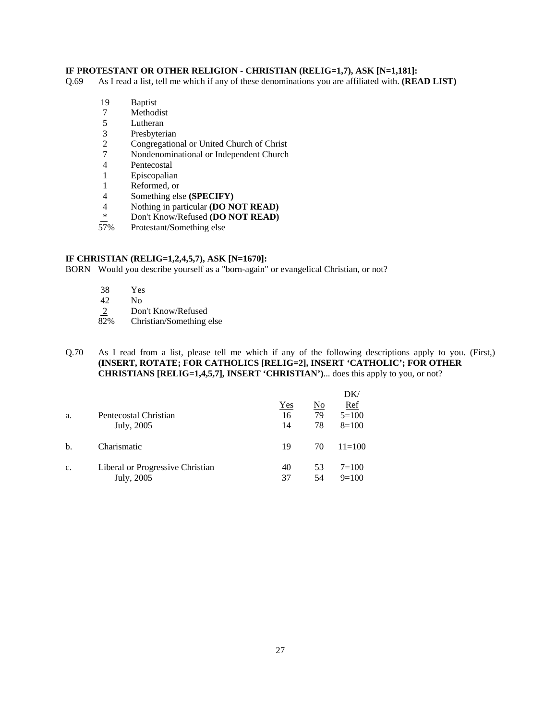# **IF PROTESTANT OR OTHER RELIGION - CHRISTIAN (RELIG=1,7), ASK [N=1,181]:**

Q.69 As I read a list, tell me which if any of these denominations you are affiliated with. **(READ LIST)**

- 19 Baptist
- 7 Methodist
- 5 Lutheran
- 3 Presbyterian<br>2 Congregation
- 2 Congregational or United Church of Christ
- 7 Nondenominational or Independent Church
- 4 Pentecostal<br>1 Episcopalian
- **Episcopalian**
- 
- 1 Reformed, or<br>4 Something els 4 Something else **(SPECIFY)**<br>4 Nothing in particular **(DO N**)
- 4 Nothing in particular **(DO NOT READ)**<br>
\* Don't *Know* Patriced **(DO NOT BEAD)**
- <sup>\*</sup> Don't Know/Refused **(DO NOT READ)**<br>57% Protestant/Something else
- Protestant/Something else

## **IF CHRISTIAN (RELIG=1,2,4,5,7), ASK [N=1670]:**

BORN Would you describe yourself as a "born-again" or evangelical Christian, or not?

- 38 Yes
- $\begin{array}{cc} 42 & \text{No} \\ 2 & \text{Don} \end{array}$
- $\frac{2}{82\%}$  Don't Know/Refused<br>Christian/Something
- Christian/Something else

### Q.70 As I read from a list, please tell me which if any of the following descriptions apply to you. (First,) **(INSERT, ROTATE; FOR CATHOLICS [RELIG=2], INSERT 'CATHOLIC'; FOR OTHER CHRISTIANS [RELIG=1,4,5,7], INSERT 'CHRISTIAN')**... does this apply to you, or not?

|    |                                  |           |                                 | DK/                   |
|----|----------------------------------|-----------|---------------------------------|-----------------------|
| a. | Pentecostal Christian            | Yes<br>16 | $\underline{\mathrm{No}}$<br>79 | <b>Ref</b><br>$5=100$ |
|    | July, 2005                       | 14        | 78                              | $8=100$               |
| b. | Charismatic                      | 19        | 70                              | $11 = 100$            |
| c. | Liberal or Progressive Christian | 40        | 53                              | $7 = 100$             |
|    | July, 2005                       | 37        | 54                              | $9=100$               |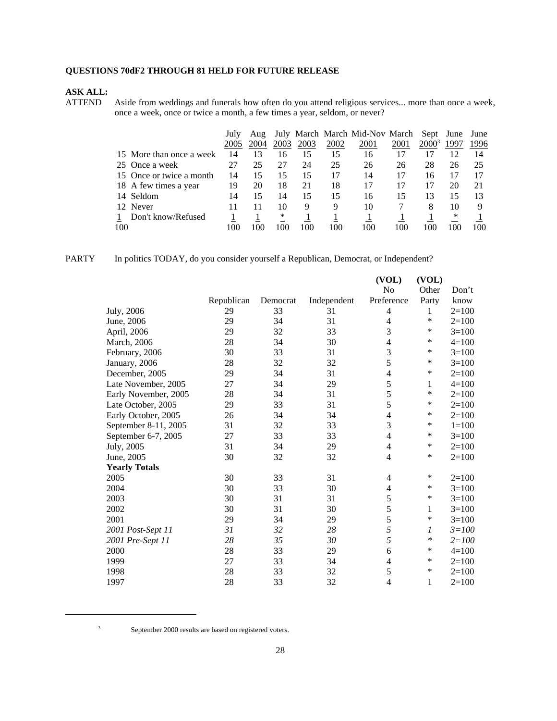# **QUESTIONS 70dF2 THROUGH 81 HELD FOR FUTURE RELEASE**

# **ASK ALL:**

Aside from weddings and funerals how often do you attend religious services... more than once a week, once a week, once or twice a month, a few times a year, seldom, or never?

|                          | July | Aug  |      |      |      | July March March Mid-Nov March |      | Sept     | June | June |
|--------------------------|------|------|------|------|------|--------------------------------|------|----------|------|------|
|                          | 2005 | 2004 | 2003 | 2003 | 2002 | 2001                           | 2001 | $2000^3$ | 1997 | 1996 |
| 15 More than once a week | 14   | 13   | 16   | 15   | 15   | 16                             | 17   |          | 12   | 14   |
| 25 Once a week           | 27   | 25   | 27   | 24   | 25   | 26                             | 26   | 28       | 26   | 25   |
| 15 Once or twice a month | 14   | 15   | 15   | 15   | 17   | 14                             | 17   | 16       |      |      |
| 18 A few times a year    | 19   | 20   | 18   | 21   | 18   |                                | 17   |          | 20   | 21   |
| 14 Seldom                | 14   | 15   | 14   | 15   | 15   | 16                             | 15   | 13       | 15   | 13   |
| 12 Never                 |      |      | 10   | 9    | 9    | 10                             |      | 8        | 10   |      |
| Don't know/Refused       |      |      | ∗    |      |      |                                |      |          | ∗    |      |
| 100                      | 100  | 100  | 100  | 100  | 100  | 100                            | 100  |          | 100  | 100  |

| PARTY |  |  |  | In politics TODAY, do you consider vourself a Republican, Democrat, or Independent? |
|-------|--|--|--|-------------------------------------------------------------------------------------|
|-------|--|--|--|-------------------------------------------------------------------------------------|

|                      |            |          |             | (VOL)                    | (VOL)  |           |
|----------------------|------------|----------|-------------|--------------------------|--------|-----------|
|                      |            |          |             | No                       | Other  | Don't     |
|                      | Republican | Democrat | Independent | Preference               | Party  | know      |
| July, 2006           | 29         | 33       | 31          | 4                        | 1      | $2=100$   |
| June, 2006           | 29         | 34       | 31          | 4                        | *      | $2=100$   |
| April, 2006          | 29         | 32       | 33          | 3                        | *      | $3=100$   |
| March, 2006          | 28         | 34       | 30          | $\overline{\mathcal{L}}$ | *      | $4 = 100$ |
| February, 2006       | 30         | 33       | 31          | 3                        | *      | $3=100$   |
| January, 2006        | 28         | 32       | 32          | 5                        | $\ast$ | $3=100$   |
| December, 2005       | 29         | 34       | 31          | 4                        | *      | $2=100$   |
| Late November, 2005  | 27         | 34       | 29          | 5                        | 1      | $4 = 100$ |
| Early November, 2005 | 28         | 34       | 31          | 5                        | *      | $2=100$   |
| Late October, 2005   | 29         | 33       | 31          | 5                        | *      | $2=100$   |
| Early October, 2005  | 26         | 34       | 34          | 4                        | *      | $2=100$   |
| September 8-11, 2005 | 31         | 32       | 33          | 3                        | *      | $1 = 100$ |
| September 6-7, 2005  | 27         | 33       | 33          | $\overline{4}$           | ∗      | $3=100$   |
| July, 2005           | 31         | 34       | 29          | 4                        | $\ast$ | $2=100$   |
| June, 2005           | 30         | 32       | 32          | 4                        | *      | $2=100$   |
| <b>Yearly Totals</b> |            |          |             |                          |        |           |
| 2005                 | 30         | 33       | 31          | 4                        | $\ast$ | $2=100$   |
| 2004                 | 30         | 33       | 30          | 4                        | *      | $3=100$   |
| 2003                 | 30         | 31       | 31          | 5                        | *      | $3=100$   |
| 2002                 | 30         | 31       | 30          | 5                        | 1      | $3=100$   |
| 2001                 | 29         | 34       | 29          | 5                        | *      | $3=100$   |
| 2001 Post-Sept 11    | 31         | 32       | 28          | 5                        | 1      | $3 = 100$ |
| 2001 Pre-Sept 11     | 28         | 35       | 30          | 5                        | ∗      | $2 = 100$ |
| 2000                 | 28         | 33       | 29          | 6                        | *      | $4 = 100$ |
| 1999                 | 27         | 33       | 34          | 4                        | *      | $2 = 100$ |
| 1998                 | 28         | 33       | 32          | 5                        | $\ast$ | $2=100$   |
| 1997                 | 28         | 33       | 32          | 4                        | 1      | $2=100$   |
|                      |            |          |             |                          |        |           |

<sup>3</sup> September 2000 results are based on registered voters.